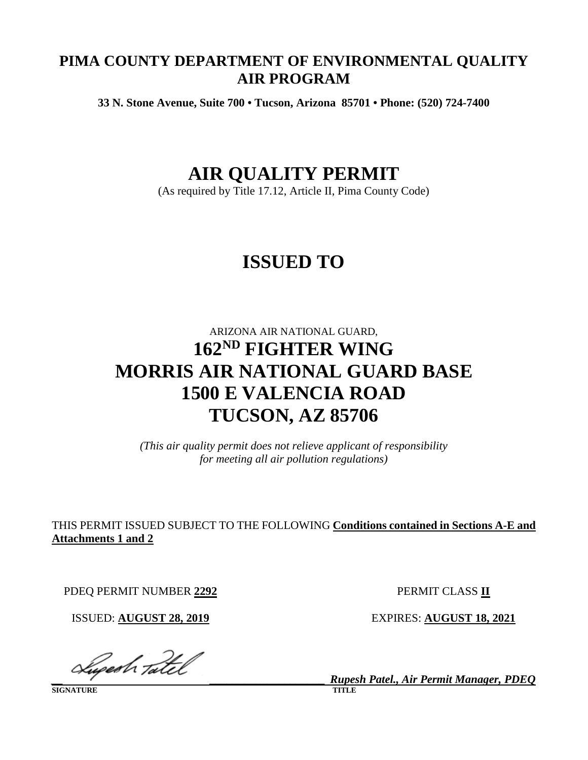# **PIMA COUNTY DEPARTMENT OF ENVIRONMENTAL QUALITY AIR PROGRAM**

**33 N. Stone Avenue, Suite 700 • Tucson, Arizona 85701 • Phone: (520) 724-7400**

# **AIR QUALITY PERMIT**

(As required by Title 17.12, Article II, Pima County Code)

# **ISSUED TO**

# ARIZONA AIR NATIONAL GUARD, **162ND FIGHTER WING MORRIS AIR NATIONAL GUARD BASE 1500 E VALENCIA ROAD TUCSON, AZ 85706**

*(This air quality permit does not relieve applicant of responsibility for meeting all air pollution regulations)*

THIS PERMIT ISSUED SUBJECT TO THE FOLLOWING **Conditions contained in Sections A-E and Attachments 1 and 2**

PDEQ PERMIT NUMBER **2292** PERMIT CLASS **II**

ISSUED: **AUGUST 28, 2019** EXPIRES: **AUGUST 18, 2021**

*\_\_ \_\_\_\_\_\_\_\_\_\_\_\_\_\_\_\_\_\_\_\_ Rupesh Patel., Air Permit Manager, PDEQ*

**SIGNATURE**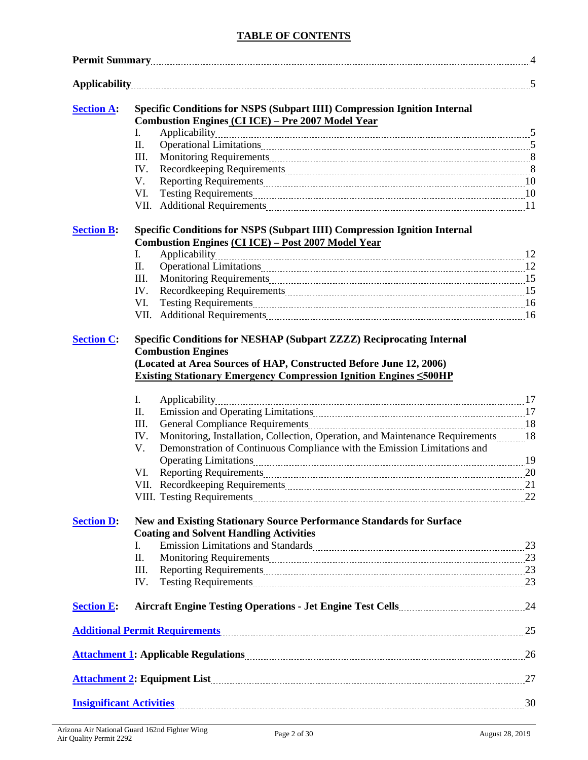## **TABLE OF CONTENTS**

| <b>Section A:</b> |      | <b>Specific Conditions for NSPS (Subpart IIII) Compression Ignition Internal</b>                                                                                               |  |
|-------------------|------|--------------------------------------------------------------------------------------------------------------------------------------------------------------------------------|--|
|                   |      | <b>Combustion Engines (CI ICE) - Pre 2007 Model Year</b>                                                                                                                       |  |
|                   | I.   |                                                                                                                                                                                |  |
|                   | П.   |                                                                                                                                                                                |  |
|                   | Ш.   |                                                                                                                                                                                |  |
|                   | IV.  |                                                                                                                                                                                |  |
|                   | V.   |                                                                                                                                                                                |  |
|                   | VI.  |                                                                                                                                                                                |  |
|                   | VII. |                                                                                                                                                                                |  |
| <b>Section B:</b> |      | Specific Conditions for NSPS (Subpart IIII) Compression Ignition Internal                                                                                                      |  |
|                   |      | <b>Combustion Engines (CI ICE) - Post 2007 Model Year</b>                                                                                                                      |  |
|                   | I.   | Applicability                                                                                                                                                                  |  |
|                   | П.   |                                                                                                                                                                                |  |
|                   | III. |                                                                                                                                                                                |  |
|                   | IV.  |                                                                                                                                                                                |  |
|                   | VI.  |                                                                                                                                                                                |  |
|                   |      |                                                                                                                                                                                |  |
|                   |      | <b>Combustion Engines</b><br>(Located at Area Sources of HAP, Constructed Before June 12, 2006)<br><b>Existing Stationary Emergency Compression Ignition Engines &lt;500HP</b> |  |
|                   | Ι.   |                                                                                                                                                                                |  |
|                   | П.   | Emission and Operating Limitations 2000 and 2000 and 2000 and 2000 and 2000 and 2000 and 2000 and 2000 and 200                                                                 |  |
|                   | III. |                                                                                                                                                                                |  |
|                   | IV.  | Monitoring, Installation, Collection, Operation, and Maintenance Requirements18                                                                                                |  |
|                   | V.   | Demonstration of Continuous Compliance with the Emission Limitations and                                                                                                       |  |
|                   |      |                                                                                                                                                                                |  |
|                   | VI.  |                                                                                                                                                                                |  |
|                   |      |                                                                                                                                                                                |  |
|                   |      |                                                                                                                                                                                |  |
| <b>Section D:</b> |      | <b>New and Existing Stationary Source Performance Standards for Surface</b><br><b>Coating and Solvent Handling Activities</b>                                                  |  |
|                   | I.   | Emission Limitations and Standards Manual Manual Manual Manual Manual Manual Manual 23                                                                                         |  |
|                   | Π.   |                                                                                                                                                                                |  |
|                   | III. |                                                                                                                                                                                |  |
|                   | IV.  |                                                                                                                                                                                |  |
| <b>Section E:</b> |      |                                                                                                                                                                                |  |
|                   |      | Additional Permit Requirements 25                                                                                                                                              |  |
|                   |      |                                                                                                                                                                                |  |
|                   |      | Attachment 2: Equipment List 27                                                                                                                                                |  |
|                   |      | Insignificant Activities 2000 30                                                                                                                                               |  |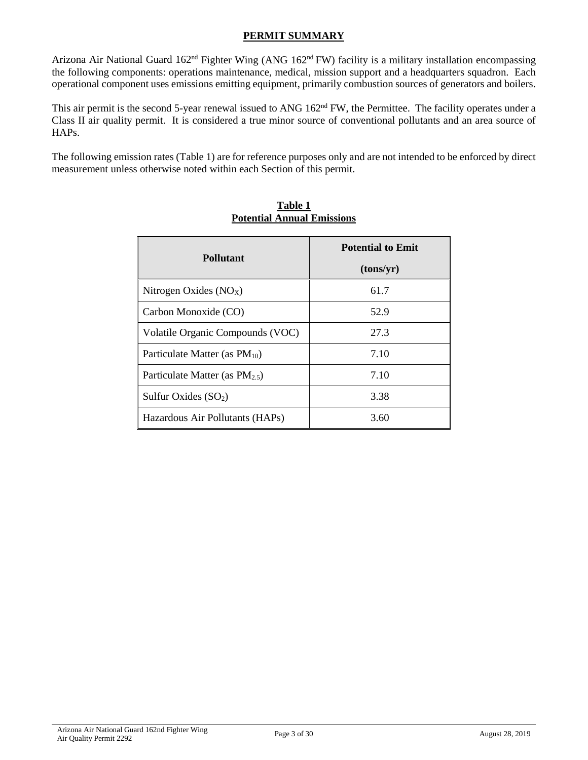# **PERMIT SUMMARY**

Arizona Air National Guard 162<sup>nd</sup> Fighter Wing (ANG 162<sup>nd</sup> FW) facility is a military installation encompassing the following components: operations maintenance, medical, mission support and a headquarters squadron. Each operational component uses emissions emitting equipment, primarily combustion sources of generators and boilers.

This air permit is the second 5-year renewal issued to ANG 162<sup>nd</sup> FW, the Permittee. The facility operates under a Class II air quality permit. It is considered a true minor source of conventional pollutants and an area source of HAPs.

The following emission rates (Table 1) are for reference purposes only and are not intended to be enforced by direct measurement unless otherwise noted within each Section of this permit.

| <b>Pollutant</b>                    | <b>Potential to Emit</b> |
|-------------------------------------|--------------------------|
|                                     | (tons/yr)                |
| Nitrogen Oxides $(NOX)$             | 61.7                     |
| Carbon Monoxide (CO)                | 52.9                     |
| Volatile Organic Compounds (VOC)    | 27.3                     |
| Particulate Matter (as $PM_{10}$ )  | 7.10                     |
| Particulate Matter (as $PM_{2.5}$ ) | 7.10                     |
| Sulfur Oxides $(SO2)$               | 3.38                     |
| Hazardous Air Pollutants (HAPs)     | 3.60                     |

# **Table 1 Potential Annual Emissions**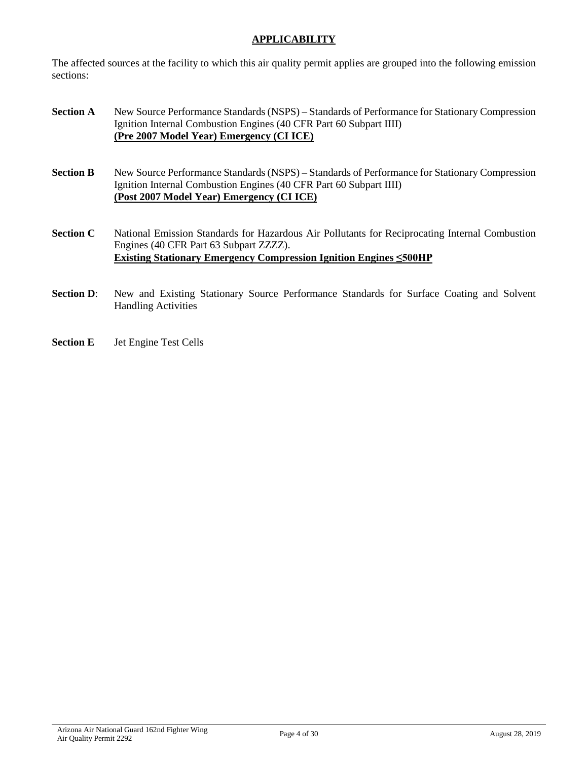# **APPLICABILITY**

The affected sources at the facility to which this air quality permit applies are grouped into the following emission sections:

- **Section <b>A** New Source Performance Standards (NSPS) Standards of Performance for Stationary Compression Ignition Internal Combustion Engines (40 CFR Part 60 Subpart IIII) **(Pre 2007 Model Year) Emergency (CI ICE)**
- **Section <b>B** New Source Performance Standards (NSPS) Standards of Performance for Stationary Compression Ignition Internal Combustion Engines (40 CFR Part 60 Subpart IIII) **(Post 2007 Model Year) Emergency (CI ICE)**
- **Section <b>C** National Emission Standards for Hazardous Air Pollutants for Reciprocating Internal Combustion Engines (40 CFR Part 63 Subpart ZZZZ). **Existing Stationary Emergency Compression Ignition Engines ≤500HP**
- **Section D:** New and Existing Stationary Source Performance Standards for Surface Coating and Solvent Handling Activities
- **Section E** Jet Engine Test Cells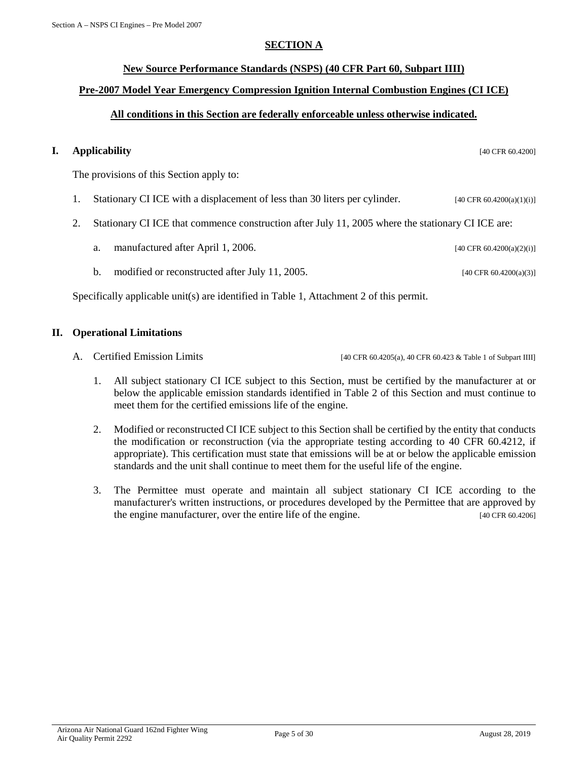## **SECTION A**

# <span id="page-4-0"></span>**New Source Performance Standards (NSPS) (40 CFR Part 60, Subpart IIII)**

# **Pre-2007 Model Year Emergency Compression Ignition Internal Combustion Engines (CI ICE)**

# **All conditions in this Section are federally enforceable unless otherwise indicated.**

# **I. Applicability** [40 CFR 60.4200]

The provisions of this Section apply to:

- 1. Stationary CI ICE with a displacement of less than 30 liters per cylinder. [40 CFR 60.4200(a)(1)(i)]
- 2. Stationary CI ICE that commence construction after July 11, 2005 where the stationary CI ICE are:
	- a. manufactured after April 1, 2006. [40 CFR 60.4200(a)(2)(i)]
	- b. modified or reconstructed after July 11, 2005. [40 CFR 60.4200(a)(3)]

Specifically applicable unit(s) are identified in Table 1, Attachment 2 of this permit.

#### **II. Operational Limitations**

- A. Certified Emission Limits [40 CFR 60.4205(a), 40 CFR 60.423 & Table 1 of Subpart IIII]
	- 1. All subject stationary CI ICE subject to this Section, must be certified by the manufacturer at or below the applicable emission standards identified in Table 2 of this Section and must continue to meet them for the certified emissions life of the engine.
	- 2. Modified or reconstructed CI ICE subject to this Section shall be certified by the entity that conducts the modification or reconstruction (via the appropriate testing according to 40 CFR 60.4212, if appropriate). This certification must state that emissions will be at or below the applicable emission standards and the unit shall continue to meet them for the useful life of the engine.
	- 3. The Permittee must operate and maintain all subject stationary CI ICE according to the manufacturer's written instructions, or procedures developed by the Permittee that are approved by the engine manufacturer, over the entire life of the engine. [40 CFR 60.4206]

Arizona Air National Guard 162nd Fighter Wing Air Quality Permit 2292<br>Air Quality Permit 2292<br>Air Quality Permit 2292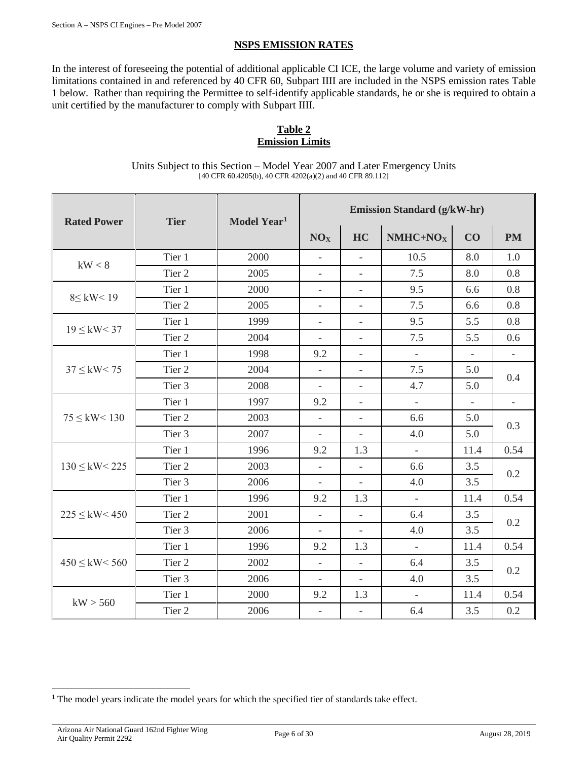# **NSPS EMISSION RATES**

In the interest of foreseeing the potential of additional applicable CI ICE, the large volume and variety of emission limitations contained in and referenced by 40 CFR 60, Subpart IIII are included in the NSPS emission rates Table 1 below. Rather than requiring the Permittee to self-identify applicable standards, he or she is required to obtain a unit certified by the manufacturer to comply with Subpart IIII.

# **Table 2 Emission Limits**

Units Subject to this Section – Model Year 2007 and Later Emergency Units [40 CFR 60.4205(b), 40 CFR 4202(a)(2) and 40 CFR 89.112]

| <b>Rated Power</b>  | <b>Tier</b>       | Model Year <sup>1</sup> | <b>Emission Standard (g/kW-hr)</b> |                          |                          |                |                          |
|---------------------|-------------------|-------------------------|------------------------------------|--------------------------|--------------------------|----------------|--------------------------|
|                     |                   |                         | NO <sub>X</sub>                    | HC                       | $NMHC+NOX$               | CO             | <b>PM</b>                |
| kW < 8              | Tier 1            | 2000                    | $\overline{\phantom{a}}$           | $\overline{a}$           | 10.5                     | 8.0            | 1.0                      |
|                     | Tier <sub>2</sub> | 2005                    | $\overline{\phantom{a}}$           | $\overline{\phantom{a}}$ | 7.5                      | 8.0            | 0.8                      |
| $8 \leq$ kW < 19    | Tier 1            | 2000                    | $\overline{\phantom{a}}$           | $\overline{\phantom{a}}$ | 9.5                      | 6.6            | 0.8                      |
|                     | Tier 2            | 2005                    | $\equiv$                           | $\overline{\phantom{a}}$ | 7.5                      | 6.6            | 0.8                      |
|                     | Tier 1            | 1999                    | $\overline{\phantom{a}}$           | $\bar{\phantom{a}}$      | 9.5                      | 5.5            | 0.8                      |
| $19 \leq$ kW < 37   | Tier <sub>2</sub> | 2004                    | $\qquad \qquad -$                  | $\overline{\phantom{a}}$ | 7.5                      | 5.5            | 0.6                      |
|                     | Tier 1            | 1998                    | 9.2                                | $\overline{\phantom{a}}$ | $\equiv$                 | $\equiv$       | $\overline{\phantom{a}}$ |
| $37 \leq$ kW < 75   | Tier 2            | 2004                    | $\overline{\phantom{0}}$           | $\overline{\phantom{a}}$ | 7.5                      | 5.0            |                          |
|                     | Tier 3            | 2008                    | $\overline{\phantom{a}}$           |                          | 4.7                      | 5.0            | 0.4                      |
|                     | Tier 1            | 1997                    | 9.2                                |                          | $\overline{\phantom{a}}$ | $\overline{a}$ | $\overline{\phantom{a}}$ |
| $75 \leq$ kW < 130  | Tier 2            | 2003                    | $\frac{1}{2}$                      | $\frac{1}{2}$            | 6.6                      | 5.0            | 0.3                      |
|                     | Tier 3            | 2007                    | $\frac{1}{2}$                      | $\overline{\phantom{a}}$ | 4.0                      | 5.0            |                          |
|                     | Tier 1            | 1996                    | 9.2                                | 1.3                      | $\overline{\phantom{a}}$ | 11.4           | 0.54                     |
| $130 \leq$ kW < 225 | Tier <sub>2</sub> | 2003                    | $\overline{\phantom{a}}$           | $\overline{\phantom{a}}$ | 6.6                      | 3.5            |                          |
|                     | Tier <sub>3</sub> | 2006                    | $\overline{\phantom{a}}$           |                          | 4.0                      | 3.5            | 0.2                      |
|                     | Tier 1            | 1996                    | 9.2                                | 1.3                      | $\frac{1}{2}$            | 11.4           | 0.54                     |
| $225 \leq$ kW < 450 | Tier 2            | 2001                    | $\overline{a}$                     | $\blacksquare$           | 6.4                      | 3.5            |                          |
|                     | Tier 3            | 2006                    | $\overline{\phantom{a}}$           | $\overline{\phantom{a}}$ | 4.0                      | 3.5            | 0.2                      |
|                     | Tier 1            | 1996                    | 9.2                                | 1.3                      | $\Box$                   | 11.4           | 0.54                     |
| $450 \leq$ kW < 560 | Tier 2            | 2002                    | $\overline{\phantom{a}}$           |                          | 6.4                      | 3.5            |                          |
|                     | Tier 3            | 2006                    | $\overline{a}$                     | $\overline{\phantom{a}}$ | 4.0                      | 3.5            | 0.2                      |
|                     | Tier 1            | 2000                    | 9.2                                | 1.3                      | $\overline{a}$           | 11.4           | 0.54                     |
| kW > 560            | Tier 2            | 2006                    | $\Box$                             | $\overline{\phantom{a}}$ | 6.4                      | 3.5            | 0.2                      |

<span id="page-5-0"></span><sup>&</sup>lt;sup>1</sup> The model years indicate the model years for which the specified tier of standards take effect.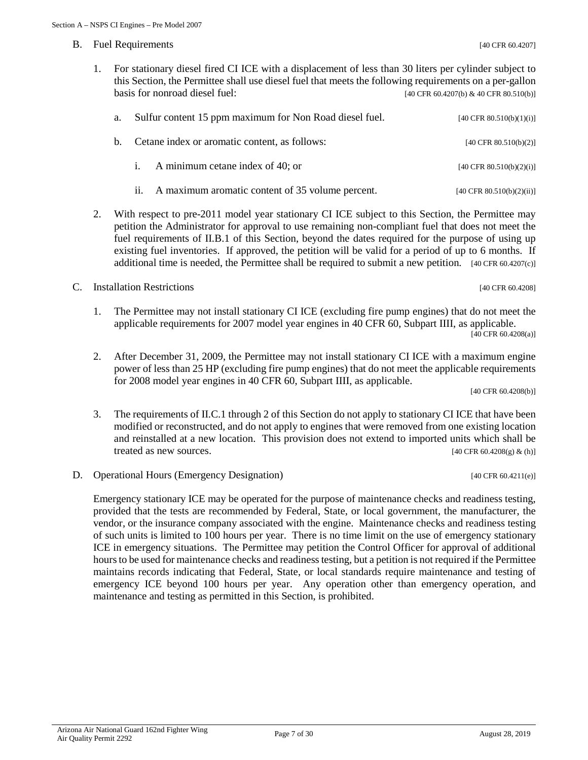- B. Fuel Requirements [40 CFR 60.4207]
	- 1. For stationary diesel fired CI ICE with a displacement of less than 30 liters per cylinder subject to this Section, the Permittee shall use diesel fuel that meets the following requirements on a per-gallon basis for nonroad diesel fuel:  $[40 \text{ CFR } 60.4207 \text{ (b) } \& 40 \text{ CFR } 80.510 \text{ (b)}]$

| а. – | Sulfur content 15 ppm maximum for Non Road diesel fuel. | [40 CFR 80.510(b)(1)(i)]             |
|------|---------------------------------------------------------|--------------------------------------|
|      | b. Cetane index or aromatic content, as follows:        | [40 CFR $80.510(b)(2)$ ]             |
|      | i. A minimum cetane index of 40; or                     | [40 CFR $80.510(b)(2)(i)$ ]          |
|      | ii. A maximum aromatic content of 35 volume percent.    | $[40 \text{ CFR } 80.510(b)(2)(ii)]$ |

- 2. With respect to pre-2011 model year stationary CI ICE subject to this Section, the Permittee may petition the Administrator for approval to use remaining non-compliant fuel that does not meet the fuel requirements of II.B.1 of this Section, beyond the dates required for the purpose of using up existing fuel inventories. If approved, the petition will be valid for a period of up to 6 months. If additional time is needed, the Permittee shall be required to submit a new petition.  $[40 \text{ CFR } 60.4207 \text{ (c)}]$
- C. Installation Restrictions [40 CFR 60.4208]
	- 1. The Permittee may not install stationary CI ICE (excluding fire pump engines) that do not meet the applicable requirements for 2007 model year engines in 40 CFR 60, Subpart IIII, as applicable. [40 CFR 60.4208(a)]
	- 2. After December 31, 2009, the Permittee may not install stationary CI ICE with a maximum engine power of less than 25 HP (excluding fire pump engines) that do not meet the applicable requirements for 2008 model year engines in 40 CFR 60, Subpart IIII, as applicable.

[40 CFR 60.4208(b)]

- 3. The requirements of II.C.1 through 2 of this Section do not apply to stationary CI ICE that have been modified or reconstructed, and do not apply to engines that were removed from one existing location and reinstalled at a new location. This provision does not extend to imported units which shall be treated as new sources.  $[40 \text{ CFR } 60.4208(g) \& (h)]$
- D. Operational Hours (Emergency Designation) [40 CFR 60.4211(e)]

Emergency stationary ICE may be operated for the purpose of maintenance checks and readiness testing, provided that the tests are recommended by Federal, State, or local government, the manufacturer, the vendor, or the insurance company associated with the engine. Maintenance checks and readiness testing of such units is limited to 100 hours per year. There is no time limit on the use of emergency stationary ICE in emergency situations. The Permittee may petition the Control Officer for approval of additional hours to be used for maintenance checks and readiness testing, but a petition is not required if the Permittee maintains records indicating that Federal, State, or local standards require maintenance and testing of emergency ICE beyond 100 hours per year. Any operation other than emergency operation, and maintenance and testing as permitted in this Section, is prohibited.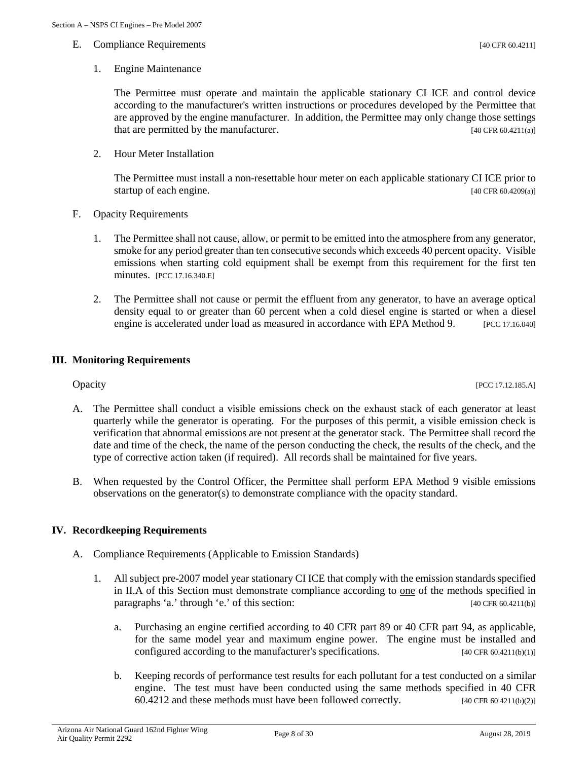The Permittee must operate and maintain the applicable stationary CI ICE and control device according to the manufacturer's written instructions or procedures developed by the Permittee that are approved by the engine manufacturer. In addition, the Permittee may only change those settings that are permitted by the manufacturer. [40 CFR 60.4211(a)]

2. Hour Meter Installation

The Permittee must install a non-resettable hour meter on each applicable stationary CI ICE prior to startup of each engine. [40 CFR 60.4209(a)]

- F. Opacity Requirements
	- 1. The Permittee shall not cause, allow, or permit to be emitted into the atmosphere from any generator, smoke for any period greater than ten consecutive seconds which exceeds 40 percent opacity. Visible emissions when starting cold equipment shall be exempt from this requirement for the first ten minutes. [PCC 17.16.340.E]
	- 2. The Permittee shall not cause or permit the effluent from any generator, to have an average optical density equal to or greater than 60 percent when a cold diesel engine is started or when a diesel engine is accelerated under load as measured in accordance with EPA Method 9. [PCC 17.16.040]

#### **III. Monitoring Requirements**

- A. The Permittee shall conduct a visible emissions check on the exhaust stack of each generator at least quarterly while the generator is operating. For the purposes of this permit, a visible emission check is verification that abnormal emissions are not present at the generator stack. The Permittee shall record the date and time of the check, the name of the person conducting the check, the results of the check, and the type of corrective action taken (if required). All records shall be maintained for five years.
- B. When requested by the Control Officer, the Permittee shall perform EPA Method 9 visible emissions observations on the generator(s) to demonstrate compliance with the opacity standard.

#### **IV. Recordkeeping Requirements**

- A. Compliance Requirements (Applicable to Emission Standards)
	- 1. All subject pre-2007 model year stationary CI ICE that comply with the emission standards specified in II.A of this Section must demonstrate compliance according to one of the methods specified in paragraphs 'a.' through 'e.' of this section: [40 CFR 60.4211(b)]
		- a. Purchasing an engine certified according to 40 CFR part 89 or 40 CFR part 94, as applicable, for the same model year and maximum engine power. The engine must be installed and configured according to the manufacturer's specifications.  $[40 \text{ CFR } 60.4211 \text{ (b)}(1)]$
		- b. Keeping records of performance test results for each pollutant for a test conducted on a similar engine. The test must have been conducted using the same methods specified in 40 CFR  $60.4212$  and these methods must have been followed correctly. [40 CFR 60.4211(b)(2)]

**Opacity** [PCC 17.12.185.A]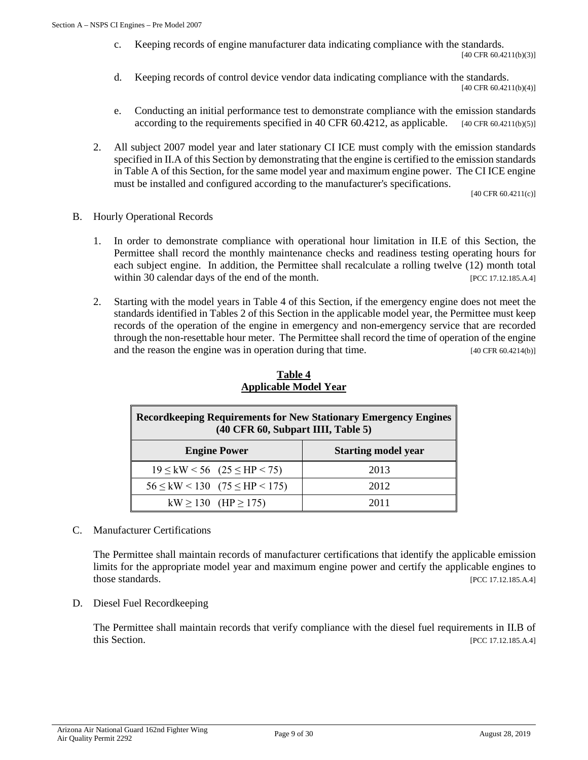- c. Keeping records of engine manufacturer data indicating compliance with the standards. [40 CFR 60.4211(b)(3)]
- d. Keeping records of control device vendor data indicating compliance with the standards. [40 CFR 60.4211(b)(4)]
- e. Conducting an initial performance test to demonstrate compliance with the emission standards according to the requirements specified in 40 CFR  $60.4212$ , as applicable.  $[40 \text{ CFR } 60.4211(b)(5)]$
- 2. All subject 2007 model year and later stationary CI ICE must comply with the emission standards specified in II.A of this Section by demonstrating that the engine is certified to the emission standards in Table A of this Section, for the same model year and maximum engine power. The CI ICE engine must be installed and configured according to the manufacturer's specifications.

[40 CFR 60.4211(c)]

- B. Hourly Operational Records
	- 1. In order to demonstrate compliance with operational hour limitation in II.E of this Section, the Permittee shall record the monthly maintenance checks and readiness testing operating hours for each subject engine. In addition, the Permittee shall recalculate a rolling twelve (12) month total within 30 calendar days of the end of the month. [PCC 17.12.185.A.4]
	- 2. Starting with the model years in Table 4 of this Section, if the emergency engine does not meet the standards identified in Tables 2 of this Section in the applicable model year, the Permittee must keep records of the operation of the engine in emergency and non-emergency service that are recorded through the non-resettable hour meter. The Permittee shall record the time of operation of the engine and the reason the engine was in operation during that time. [40 CFR 60.4214(b)]

| <b>Record keeping Requirements for New Stationary Emergency Engines</b><br>$(40 \text{ CFR } 60, \text{Subpart III}, \text{Table 5})$ |      |  |  |  |
|---------------------------------------------------------------------------------------------------------------------------------------|------|--|--|--|
| <b>Engine Power</b><br><b>Starting model year</b>                                                                                     |      |  |  |  |
| $19 \leq {\rm kW} \leq 56$ (25 $\leq$ HP $\leq$ 75)                                                                                   | 2013 |  |  |  |
| $56 \leq \text{kW} < 130$ $(75 \leq \text{HP} < 175)$                                                                                 | 2012 |  |  |  |
| kW $\ge$ 130 (HP $\ge$ 175)                                                                                                           | 2011 |  |  |  |

# **Table 4 Applicable Model Year**

C. Manufacturer Certifications

The Permittee shall maintain records of manufacturer certifications that identify the applicable emission limits for the appropriate model year and maximum engine power and certify the applicable engines to those standards. [PCC 17.12.185.A.4]

D. Diesel Fuel Recordkeeping

The Permittee shall maintain records that verify compliance with the diesel fuel requirements in II.B of this Section. [PCC 17.12.185.A.4]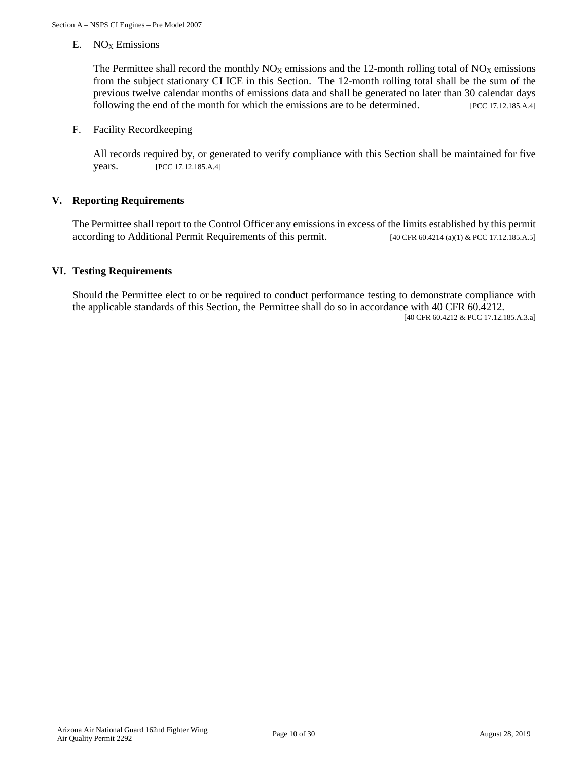E.  $NO<sub>X</sub>$  Emissions

The Permittee shall record the monthly  $NO<sub>X</sub>$  emissions and the 12-month rolling total of  $NO<sub>X</sub>$  emissions from the subject stationary CI ICE in this Section. The 12-month rolling total shall be the sum of the previous twelve calendar months of emissions data and shall be generated no later than 30 calendar days following the end of the month for which the emissions are to be determined. [PCC 17.12.185.A.4]

F. Facility Recordkeeping

All records required by, or generated to verify compliance with this Section shall be maintained for five years. [PCC 17.12.185.A.4]

#### **V. Reporting Requirements**

The Permittee shall report to the Control Officer any emissions in excess of the limits established by this permit according to Additional Permit Requirements of this permit.  $[40 \text{ CFR } 60.4214 \text{ (a)}(1) \& \text{PCC } 17.12.185 \text{ A.5}]$ 

#### **VI. Testing Requirements**

Should the Permittee elect to or be required to conduct performance testing to demonstrate compliance with the applicable standards of this Section, the Permittee shall do so in accordance with 40 CFR 60.4212.

[40 CFR 60.4212 & PCC 17.12.185.A.3.a]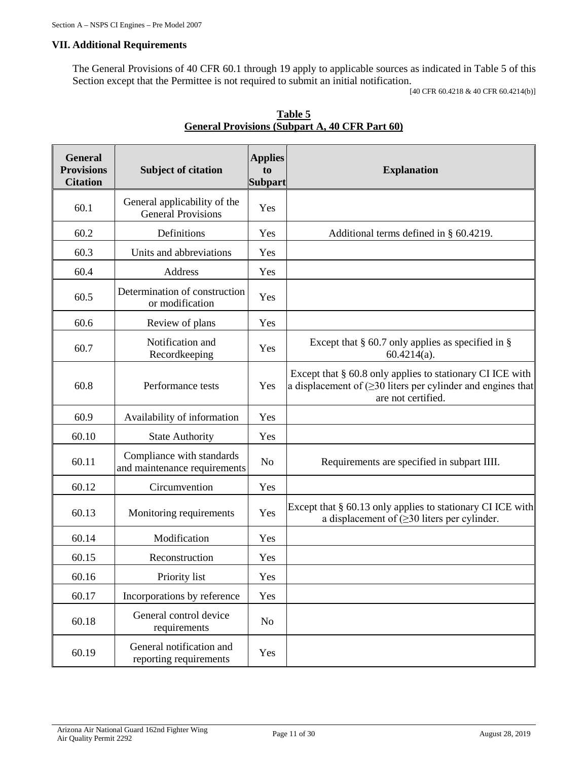# **VII. Additional Requirements**

The General Provisions of 40 CFR 60.1 through 19 apply to applicable sources as indicated in Table 5 of this Section except that the Permittee is not required to submit an initial notification.

[40 CFR 60.4218 & 40 CFR 60.4214(b)]

| <b>General</b><br><b>Provisions</b><br><b>Citation</b> | <b>Subject of citation</b>                                | <b>Applies</b><br>to<br><b>Subpart</b> | <b>Explanation</b>                                                                                                                                    |
|--------------------------------------------------------|-----------------------------------------------------------|----------------------------------------|-------------------------------------------------------------------------------------------------------------------------------------------------------|
| 60.1                                                   | General applicability of the<br><b>General Provisions</b> | Yes                                    |                                                                                                                                                       |
| 60.2                                                   | Definitions                                               | Yes                                    | Additional terms defined in § 60.4219.                                                                                                                |
| 60.3                                                   | Units and abbreviations                                   | Yes                                    |                                                                                                                                                       |
| 60.4                                                   | Address                                                   | Yes                                    |                                                                                                                                                       |
| 60.5                                                   | Determination of construction<br>or modification          | Yes                                    |                                                                                                                                                       |
| 60.6                                                   | Review of plans                                           | Yes                                    |                                                                                                                                                       |
| 60.7                                                   | Notification and<br>Recordkeeping                         | Yes                                    | Except that $\S$ 60.7 only applies as specified in $\S$<br>$60.4214(a)$ .                                                                             |
| 60.8                                                   | Performance tests                                         | Yes                                    | Except that § 60.8 only applies to stationary CI ICE with<br>a displacement of $(\geq 30)$ liters per cylinder and engines that<br>are not certified. |
| 60.9                                                   | Availability of information                               | Yes                                    |                                                                                                                                                       |
| 60.10                                                  | <b>State Authority</b>                                    | Yes                                    |                                                                                                                                                       |
| 60.11                                                  | Compliance with standards<br>and maintenance requirements | No                                     | Requirements are specified in subpart IIII.                                                                                                           |
| 60.12                                                  | Circumvention                                             | Yes                                    |                                                                                                                                                       |
| 60.13                                                  | Monitoring requirements                                   | Yes                                    | Except that $\S 60.13$ only applies to stationary CI ICE with<br>a displacement of $(\geq 30)$ liters per cylinder.                                   |
| 60.14                                                  | Modification                                              | Yes                                    |                                                                                                                                                       |
| 60.15                                                  | Reconstruction                                            | Yes                                    |                                                                                                                                                       |
| 60.16                                                  | Priority list                                             | Yes                                    |                                                                                                                                                       |
| 60.17                                                  | Incorporations by reference                               | Yes                                    |                                                                                                                                                       |
| 60.18                                                  | General control device<br>requirements                    | N <sub>o</sub>                         |                                                                                                                                                       |
| 60.19                                                  | General notification and<br>reporting requirements        | Yes                                    |                                                                                                                                                       |

|                                                       | Table 5 |  |
|-------------------------------------------------------|---------|--|
| <b>General Provisions (Subpart A, 40 CFR Part 60)</b> |         |  |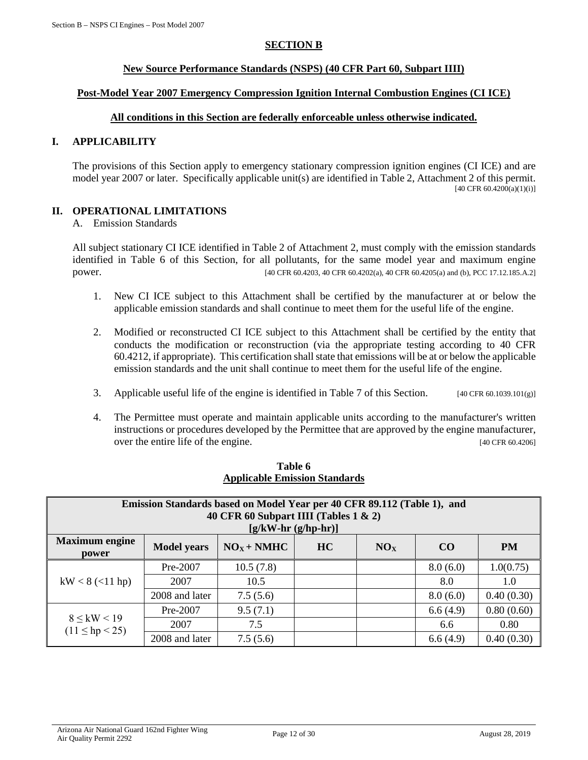## **SECTION B**

#### **New Source Performance Standards (NSPS) (40 CFR Part 60, Subpart IIII)**

#### <span id="page-11-0"></span>**Post-Model Year 2007 Emergency Compression Ignition Internal Combustion Engines (CI ICE)**

# **All conditions in this Section are federally enforceable unless otherwise indicated.**

# **I. APPLICABILITY**

The provisions of this Section apply to emergency stationary compression ignition engines (CI ICE) and are model year 2007 or later. Specifically applicable unit(s) are identified in Table 2, Attachment 2 of this permit.  $[40 \text{ CFR } 60.4200(a)(1)(i)]$ 

# **II. OPERATIONAL LIMITATIONS**

A. Emission Standards

All subject stationary CI ICE identified in Table 2 of Attachment 2, must comply with the emission standards identified in Table 6 of this Section, for all pollutants, for the same model year and maximum engine power. [40 CFR 60.4203, 40 CFR 60.4202(a), 40 CFR 60.4205(a) and (b), PCC 17.12.185.A.2]

- 1. New CI ICE subject to this Attachment shall be certified by the manufacturer at or below the applicable emission standards and shall continue to meet them for the useful life of the engine.
- 2. Modified or reconstructed CI ICE subject to this Attachment shall be certified by the entity that conducts the modification or reconstruction (via the appropriate testing according to 40 CFR 60.4212, if appropriate). This certification shall state that emissions will be at or below the applicable emission standards and the unit shall continue to meet them for the useful life of the engine.
- 3. Applicable useful life of the engine is identified in Table 7 of this Section. [40 CFR 60.1039.101(g)]
- 4. The Permittee must operate and maintain applicable units according to the manufacturer's written instructions or procedures developed by the Permittee that are approved by the engine manufacturer, over the entire life of the engine. [40 CFR 60.4206]

| Emission Standards based on Model Year per 40 CFR 89.112 (Table 1), and<br>40 CFR 60 Subpart IIII (Tables $1 \& 2$ )<br>$[g/kW-hr(g/hp-hr)]$ |                                                                                       |           |  |  |          |            |  |
|----------------------------------------------------------------------------------------------------------------------------------------------|---------------------------------------------------------------------------------------|-----------|--|--|----------|------------|--|
| <b>Maximum</b> engine<br>power                                                                                                               | $NOX + NMHC$<br><b>HC</b><br>CO<br><b>PM</b><br><b>Model years</b><br>NO <sub>X</sub> |           |  |  |          |            |  |
|                                                                                                                                              | Pre-2007                                                                              | 10.5(7.8) |  |  | 8.0(6.0) | 1.0(0.75)  |  |
| $kW < 8$ (<11 hp)                                                                                                                            | 2007                                                                                  | 10.5      |  |  | 8.0      | 1.0        |  |
|                                                                                                                                              | 2008 and later                                                                        | 7.5(5.6)  |  |  | 8.0(6.0) | 0.40(0.30) |  |
| $8 \leq$ kW $< 19$<br>$(11 \le hp < 25)$                                                                                                     | Pre-2007                                                                              | 9.5(7.1)  |  |  | 6.6(4.9) | 0.80(0.60) |  |
|                                                                                                                                              | 2007                                                                                  | 7.5       |  |  | 6.6      | 0.80       |  |
|                                                                                                                                              | 2008 and later                                                                        | 7.5(5.6)  |  |  | 6.6(4.9) | 0.40(0.30) |  |

#### **Table 6 Applicable Emission Standards**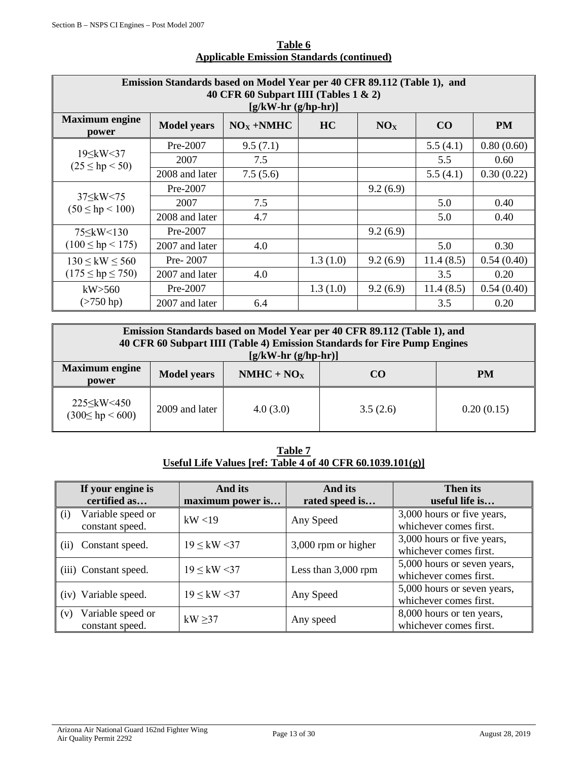| Emission Standards based on Model Year per 40 CFR 89.112 (Table 1), and<br>40 CFR 60 Subpart IIII (Tables $1 \& 2$ )<br>$[g/kW-hr(g/hp-hr)]$ |                                                                                      |          |          |          |           |            |  |  |  |
|----------------------------------------------------------------------------------------------------------------------------------------------|--------------------------------------------------------------------------------------|----------|----------|----------|-----------|------------|--|--|--|
| <b>Maximum</b> engine<br>power                                                                                                               | $NOX + NMHC$<br><b>PM</b><br><b>Model years</b><br>HC<br>NO <sub>x</sub><br>$\bf CO$ |          |          |          |           |            |  |  |  |
|                                                                                                                                              | Pre-2007                                                                             | 9.5(7.1) |          |          | 5.5(4.1)  | 0.80(0.60) |  |  |  |
| 19 \ kW < 37<br>$(25 \le hp < 50)$                                                                                                           | 2007                                                                                 | 7.5      |          |          | 5.5       | 0.60       |  |  |  |
|                                                                                                                                              | 2008 and later                                                                       | 7.5(5.6) |          |          | 5.5(4.1)  | 0.30(0.22) |  |  |  |
|                                                                                                                                              | $Pre-2007$                                                                           |          |          | 9.2(6.9) |           |            |  |  |  |
| $37 \leq$ kW $\leq 75$<br>$(50 \le hp < 100)$                                                                                                | 2007                                                                                 | 7.5      |          |          | 5.0       | 0.40       |  |  |  |
|                                                                                                                                              | 2008 and later                                                                       | 4.7      |          |          | 5.0       | 0.40       |  |  |  |
|                                                                                                                                              | Pre-2007                                                                             |          |          | 9.2(6.9) |           |            |  |  |  |
| $(100 \le hp < 175)$                                                                                                                         | 2007 and later                                                                       | 4.0      |          |          | 5.0       | 0.30       |  |  |  |
| $130 \leq$ kW $\leq 560$                                                                                                                     | Pre- $2007$                                                                          |          | 1.3(1.0) | 9.2(6.9) | 11.4(8.5) | 0.54(0.40) |  |  |  |
| $(175 \le hp \le 750)$                                                                                                                       | 2007 and later                                                                       | 4.0      |          |          | 3.5       | 0.20       |  |  |  |
| kW > 560                                                                                                                                     | Pre-2007                                                                             |          | 1.3(1.0) | 9.2(6.9) | 11.4(8.5) | 0.54(0.40) |  |  |  |
| $($ >750 hp)                                                                                                                                 | 2007 and later                                                                       | 6.4      |          |          | 3.5       | 0.20       |  |  |  |

# **Table 6 Applicable Emission Standards (continued)**

| Emission Standards based on Model Year per 40 CFR 89.112 (Table 1), and<br>40 CFR 60 Subpart IIII (Table 4) Emission Standards for Fire Pump Engines<br>$[g/kW-hr(g/hp-hr)]$ |                                                       |          |          |            |  |  |
|------------------------------------------------------------------------------------------------------------------------------------------------------------------------------|-------------------------------------------------------|----------|----------|------------|--|--|
| <b>Maximum</b> engine<br>power                                                                                                                                               | $NMHC + NOX$<br><b>Model years</b><br><b>PM</b><br>CO |          |          |            |  |  |
| 225 \sigma_kW < 450<br>$(300 \le hp \le 600)$                                                                                                                                | 2009 and later                                        | 4.0(3.0) | 3.5(2.6) | 0.20(0.15) |  |  |

**Table 7 Useful Life Values [ref: Table 4 of 40 CFR 60.1039.101(g)]**

| If your engine is<br>certified as           | And its<br>maximum power is | And its<br>rated speed is | <b>Then its</b><br>useful life is                     |
|---------------------------------------------|-----------------------------|---------------------------|-------------------------------------------------------|
| Variable speed or<br>(i)<br>constant speed. | kW < 19                     | Any Speed                 | 3,000 hours or five years,<br>whichever comes first.  |
| Constant speed.<br>(ii)                     | $19 \leq$ kW <37            | 3,000 rpm or higher       | 3,000 hours or five years,<br>whichever comes first.  |
| (iii) Constant speed.                       | $19 \leq$ kW <37            | Less than $3,000$ rpm     | 5,000 hours or seven years,<br>whichever comes first. |
| (iv) Variable speed.                        | $19 \leq$ kW <37            | Any Speed                 | 5,000 hours or seven years,<br>whichever comes first. |
| Variable speed or<br>(v)<br>constant speed. | kW $\geq$ 37                | Any speed                 | 8,000 hours or ten years,<br>whichever comes first.   |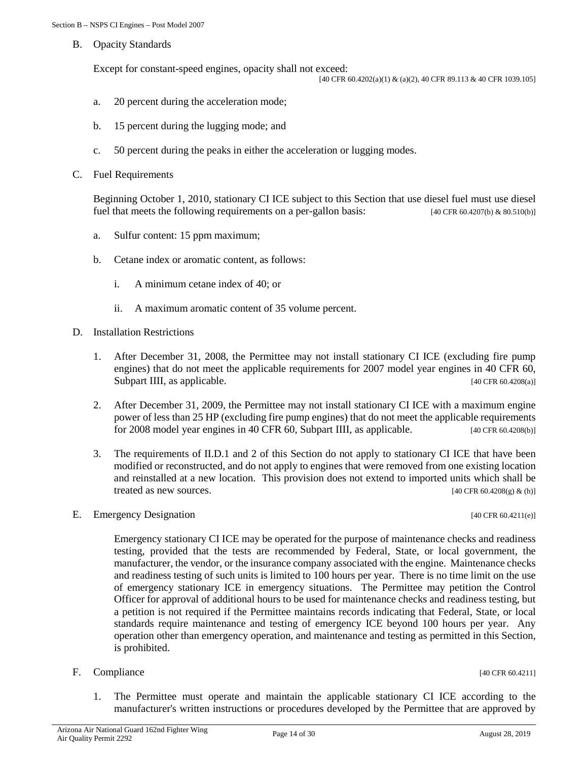B. Opacity Standards

Except for constant-speed engines, opacity shall not exceed:

[40 CFR 60.4202(a)(1) & (a)(2), 40 CFR 89.113 & 40 CFR 1039.105]

- a. 20 percent during the acceleration mode;
- b. 15 percent during the lugging mode; and
- c. 50 percent during the peaks in either the acceleration or lugging modes.
- C. Fuel Requirements

Beginning October 1, 2010, stationary CI ICE subject to this Section that use diesel fuel must use diesel fuel that meets the following requirements on a per-gallon basis: [40 CFR 60.4207(b) & 80.510(b)]

- a. Sulfur content: 15 ppm maximum;
- b. Cetane index or aromatic content, as follows:
	- i. A minimum cetane index of 40; or
	- ii. A maximum aromatic content of 35 volume percent.
- D. Installation Restrictions
	- 1. After December 31, 2008, the Permittee may not install stationary CI ICE (excluding fire pump engines) that do not meet the applicable requirements for 2007 model year engines in 40 CFR 60, Subpart IIII, as applicable. [40 CFR 60.4208(a)]
	- 2. After December 31, 2009, the Permittee may not install stationary CI ICE with a maximum engine power of less than 25 HP (excluding fire pump engines) that do not meet the applicable requirements for 2008 model year engines in 40 CFR 60, Subpart IIII, as applicable.  $[40 \text{ CFR } 60.4208(b)]$
	- 3. The requirements of II.D.1 and 2 of this Section do not apply to stationary CI ICE that have been modified or reconstructed, and do not apply to engines that were removed from one existing location and reinstalled at a new location. This provision does not extend to imported units which shall be treated as new sources.  $[40 \text{ CFR } 60.4208(g) \& (h)]$
- E. Emergency Designation [40 CFR 60.4211(e)]

Emergency stationary CI ICE may be operated for the purpose of maintenance checks and readiness testing, provided that the tests are recommended by Federal, State, or local government, the manufacturer, the vendor, or the insurance company associated with the engine. Maintenance checks and readiness testing of such units is limited to 100 hours per year. There is no time limit on the use of emergency stationary ICE in emergency situations. The Permittee may petition the Control Officer for approval of additional hours to be used for maintenance checks and readiness testing, but a petition is not required if the Permittee maintains records indicating that Federal, State, or local standards require maintenance and testing of emergency ICE beyond 100 hours per year. Any operation other than emergency operation, and maintenance and testing as permitted in this Section, is prohibited.

F. Compliance  $[40 \text{ CFR } 60.4211]$ 

1. The Permittee must operate and maintain the applicable stationary CI ICE according to the manufacturer's written instructions or procedures developed by the Permittee that are approved by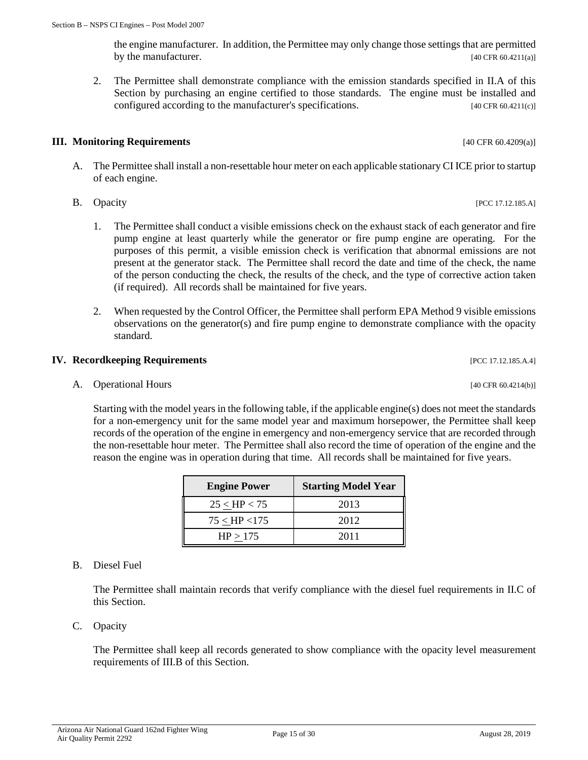the engine manufacturer. In addition, the Permittee may only change those settings that are permitted by the manufacturer. [40 CFR 60.4211(a)]

2. The Permittee shall demonstrate compliance with the emission standards specified in II.A of this Section by purchasing an engine certified to those standards. The engine must be installed and configured according to the manufacturer's specifications. [40 CFR 60.4211(c)]

# **III. Monitoring Requirements** [40 CFR 60.4209(a)]

- A. The Permittee shall install a non-resettable hour meter on each applicable stationary CI ICE prior to startup of each engine.
- B. Opacity [PCC 17.12.185.A]
	- 1. The Permittee shall conduct a visible emissions check on the exhaust stack of each generator and fire pump engine at least quarterly while the generator or fire pump engine are operating. For the purposes of this permit, a visible emission check is verification that abnormal emissions are not present at the generator stack. The Permittee shall record the date and time of the check, the name of the person conducting the check, the results of the check, and the type of corrective action taken (if required). All records shall be maintained for five years.
	- 2. When requested by the Control Officer, the Permittee shall perform EPA Method 9 visible emissions observations on the generator(s) and fire pump engine to demonstrate compliance with the opacity standard.

# **IV. Recordkeeping Requirements IV. Recordkeeping Requirements**

A. Operational Hours [40 CFR 60.4214(b)]

Starting with the model years in the following table, if the applicable engine(s) does not meet the standards for a non-emergency unit for the same model year and maximum horsepower, the Permittee shall keep records of the operation of the engine in emergency and non-emergency service that are recorded through the non-resettable hour meter. The Permittee shall also record the time of operation of the engine and the reason the engine was in operation during that time. All records shall be maintained for five years.

| <b>B.</b> | Diesel Fuel |
|-----------|-------------|
|           |             |

The Permittee shall maintain records that verify compliance with the diesel fuel requirements in II.C of this Section.

C. Opacity

The Permittee shall keep all records generated to show compliance with the opacity level measurement requirements of III.B of this Section.

**Engine Power Starting Model Year**  $25 <$  HP  $< 75$  2013  $75 <$  HP <175 2012  $HP > 175$  2011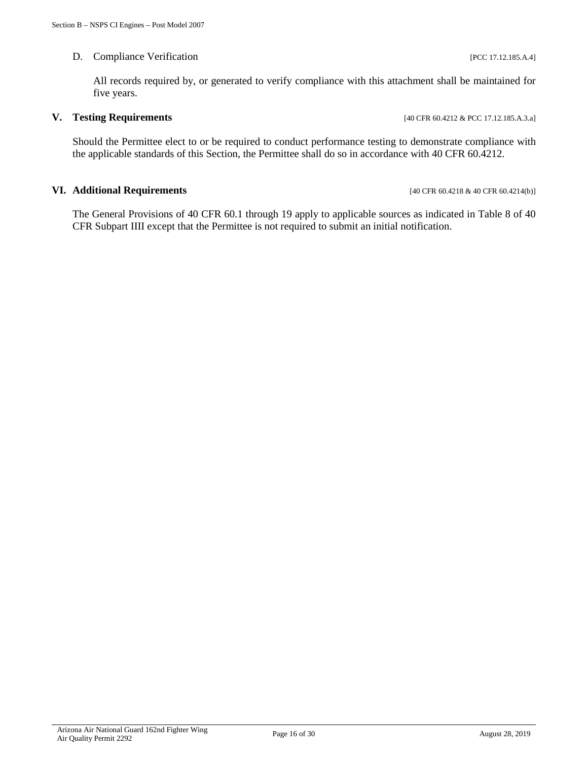#### D. Compliance Verification [PCC 17.12.185.A.4]

All records required by, or generated to verify compliance with this attachment shall be maintained for five years.

#### **V. Testing Requirements** [40 CFR 60.4212 & PCC 17.12.185.A.3.a]

Should the Permittee elect to or be required to conduct performance testing to demonstrate compliance with the applicable standards of this Section, the Permittee shall do so in accordance with 40 CFR 60.4212.

#### **VI. Additional Requirements** [40 CFR 60.4218 & 40 CFR 60.4214(b)]

The General Provisions of 40 CFR 60.1 through 19 apply to applicable sources as indicated in Table 8 of 40 CFR Subpart IIII except that the Permittee is not required to submit an initial notification.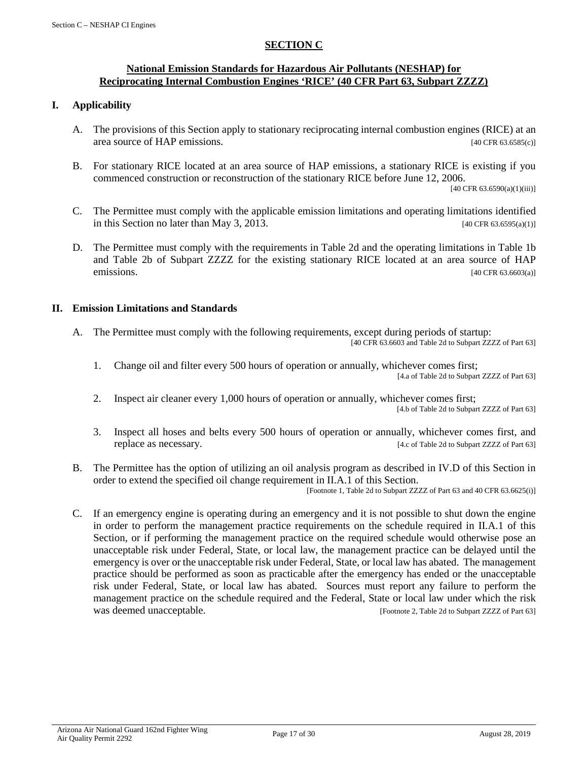# **SECTION C**

#### <span id="page-16-0"></span>**National Emission Standards for Hazardous Air Pollutants (NESHAP) for Reciprocating Internal Combustion Engines 'RICE' (40 CFR Part 63, Subpart ZZZZ)**

#### **I. Applicability**

- A. The provisions of this Section apply to stationary reciprocating internal combustion engines (RICE) at an area source of HAP emissions. [40 CFR 63.6585(c)]
- B. For stationary RICE located at an area source of HAP emissions, a stationary RICE is existing if you commenced construction or reconstruction of the stationary RICE before June 12, 2006.

[40 CFR 63.6590(a)(1)(iii)]

- C. The Permittee must comply with the applicable emission limitations and operating limitations identified in this Section no later than May 3, 2013. [40 CFR 63.6595(a)(1)]
- D. The Permittee must comply with the requirements in Table 2d and the operating limitations in Table 1b and Table 2b of Subpart ZZZZ for the existing stationary RICE located at an area source of HAP emissions. [40 CFR 63.6603(a)]

# **II. Emission Limitations and Standards**

- A. The Permittee must comply with the following requirements, except during periods of startup: [40 CFR 63.6603 and Table 2d to Subpart ZZZZ of Part 63]
	- 1. Change oil and filter every 500 hours of operation or annually, whichever comes first; [4.a of Table 2d to Subpart ZZZZ of Part 63]
	- 2. Inspect air cleaner every 1,000 hours of operation or annually, whichever comes first; [4.b of Table 2d to Subpart ZZZZ of Part 63]
	- 3. Inspect all hoses and belts every 500 hours of operation or annually, whichever comes first, and replace as necessary. [4.c of Table 2d to Subpart ZZZZ of Part 63]
- B. The Permittee has the option of utilizing an oil analysis program as described in IV.D of this Section in order to extend the specified oil change requirement in II.A.1 of this Section.

[Footnote 1, Table 2d to Subpart ZZZZ of Part 63 and 40 CFR 63.6625(i)]

C. If an emergency engine is operating during an emergency and it is not possible to shut down the engine in order to perform the management practice requirements on the schedule required in II.A.1 of this Section, or if performing the management practice on the required schedule would otherwise pose an unacceptable risk under Federal, State, or local law, the management practice can be delayed until the emergency is over or the unacceptable risk under Federal, State, or local law has abated. The management practice should be performed as soon as practicable after the emergency has ended or the unacceptable risk under Federal, State, or local law has abated. Sources must report any failure to perform the management practice on the schedule required and the Federal, State or local law under which the risk was deemed unacceptable. [Footnote 2, Table 2d to Subpart ZZZZ of Part 63]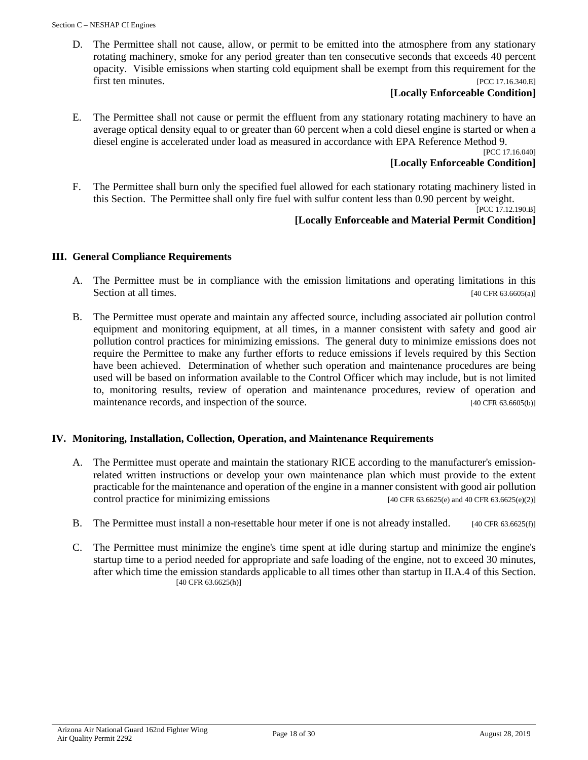D. The Permittee shall not cause, allow, or permit to be emitted into the atmosphere from any stationary rotating machinery, smoke for any period greater than ten consecutive seconds that exceeds 40 percent opacity. Visible emissions when starting cold equipment shall be exempt from this requirement for the first ten minutes. [PCC 17.16.340.E]

# **[Locally Enforceable Condition]**

E. The Permittee shall not cause or permit the effluent from any stationary rotating machinery to have an average optical density equal to or greater than 60 percent when a cold diesel engine is started or when a diesel engine is accelerated under load as measured in accordance with EPA Reference Method 9.

[PCC 17.16.040]

# **[Locally Enforceable Condition]**

F. The Permittee shall burn only the specified fuel allowed for each stationary rotating machinery listed in this Section. The Permittee shall only fire fuel with sulfur content less than 0.90 percent by weight.

#### [PCC 17.12.190.B] **[Locally Enforceable and Material Permit Condition]**

# **III. General Compliance Requirements**

- A. The Permittee must be in compliance with the emission limitations and operating limitations in this Section at all times. [40 CFR 63.6605(a)]
- B. The Permittee must operate and maintain any affected source, including associated air pollution control equipment and monitoring equipment, at all times, in a manner consistent with safety and good air pollution control practices for minimizing emissions. The general duty to minimize emissions does not require the Permittee to make any further efforts to reduce emissions if levels required by this Section have been achieved. Determination of whether such operation and maintenance procedures are being used will be based on information available to the Control Officer which may include, but is not limited to, monitoring results, review of operation and maintenance procedures, review of operation and maintenance records, and inspection of the source. [40 CFR 63.6605(b)]

#### **IV. Monitoring, Installation, Collection, Operation, and Maintenance Requirements**

- A. The Permittee must operate and maintain the stationary RICE according to the manufacturer's emissionrelated written instructions or develop your own maintenance plan which must provide to the extent practicable for the maintenance and operation of the engine in a manner consistent with good air pollution control practice for minimizing emissions  $[40 \text{ CFR } 63.6625(e)$  and  $40 \text{ CFR } 63.6625(e)(2)]$
- B. The Permittee must install a non-resettable hour meter if one is not already installed. [40 CFR 63.6625(f)]
- C. The Permittee must minimize the engine's time spent at idle during startup and minimize the engine's startup time to a period needed for appropriate and safe loading of the engine, not to exceed 30 minutes, after which time the emission standards applicable to all times other than startup in II.A.4 of this Section. [40 CFR 63.6625(h)]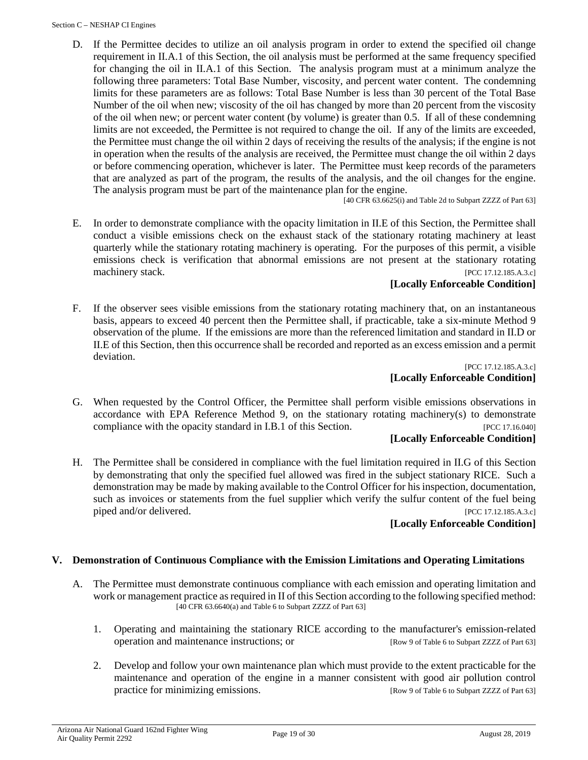D. If the Permittee decides to utilize an oil analysis program in order to extend the specified oil change requirement in II.A.1 of this Section, the oil analysis must be performed at the same frequency specified for changing the oil in II.A.1 of this Section. The analysis program must at a minimum analyze the following three parameters: Total Base Number, viscosity, and percent water content. The condemning limits for these parameters are as follows: Total Base Number is less than 30 percent of the Total Base Number of the oil when new; viscosity of the oil has changed by more than 20 percent from the viscosity of the oil when new; or percent water content (by volume) is greater than 0.5. If all of these condemning limits are not exceeded, the Permittee is not required to change the oil. If any of the limits are exceeded, the Permittee must change the oil within 2 days of receiving the results of the analysis; if the engine is not in operation when the results of the analysis are received, the Permittee must change the oil within 2 days or before commencing operation, whichever is later. The Permittee must keep records of the parameters that are analyzed as part of the program, the results of the analysis, and the oil changes for the engine. The analysis program must be part of the maintenance plan for the engine.

[40 CFR 63.6625(i) and Table 2d to Subpart ZZZZ of Part 63]

E. In order to demonstrate compliance with the opacity limitation in II.E of this Section, the Permittee shall conduct a visible emissions check on the exhaust stack of the stationary rotating machinery at least quarterly while the stationary rotating machinery is operating. For the purposes of this permit, a visible emissions check is verification that abnormal emissions are not present at the stationary rotating machinery stack. [PCC 17.12.185.A.3.c]

#### **[Locally Enforceable Condition]**

F. If the observer sees visible emissions from the stationary rotating machinery that, on an instantaneous basis, appears to exceed 40 percent then the Permittee shall, if practicable, take a six-minute Method 9 observation of the plume. If the emissions are more than the referenced limitation and standard in II.D or II.E of this Section, then this occurrence shall be recorded and reported as an excess emission and a permit deviation.

[PCC 17.12.185.A.3.c] **[Locally Enforceable Condition]**

G. When requested by the Control Officer, the Permittee shall perform visible emissions observations in accordance with EPA Reference Method 9, on the stationary rotating machinery(s) to demonstrate compliance with the opacity standard in I.B.1 of this Section. [PCC 17.16.040]

# **[Locally Enforceable Condition]**

H. The Permittee shall be considered in compliance with the fuel limitation required in II.G of this Section by demonstrating that only the specified fuel allowed was fired in the subject stationary RICE. Such a demonstration may be made by making available to the Control Officer for his inspection, documentation, such as invoices or statements from the fuel supplier which verify the sulfur content of the fuel being piped and/or delivered. [PCC 17.12.185.A.3.c]

#### **[Locally Enforceable Condition]**

#### **V. Demonstration of Continuous Compliance with the Emission Limitations and Operating Limitations**

- A. The Permittee must demonstrate continuous compliance with each emission and operating limitation and work or management practice as required in II of this Section according to the following specified method:  $[40$  CFR 63.6640(a) and Table 6 to Subpart ZZZZ of Part 63]
	- 1. Operating and maintaining the stationary RICE according to the manufacturer's emission-related operation and maintenance instructions; or [Row 9 of Table 6 to Subpart ZZZZ of Part 63]
	- 2. Develop and follow your own maintenance plan which must provide to the extent practicable for the maintenance and operation of the engine in a manner consistent with good air pollution control practice for minimizing emissions. [Row 9 of Table 6 to Subpart ZZZZ of Part 63]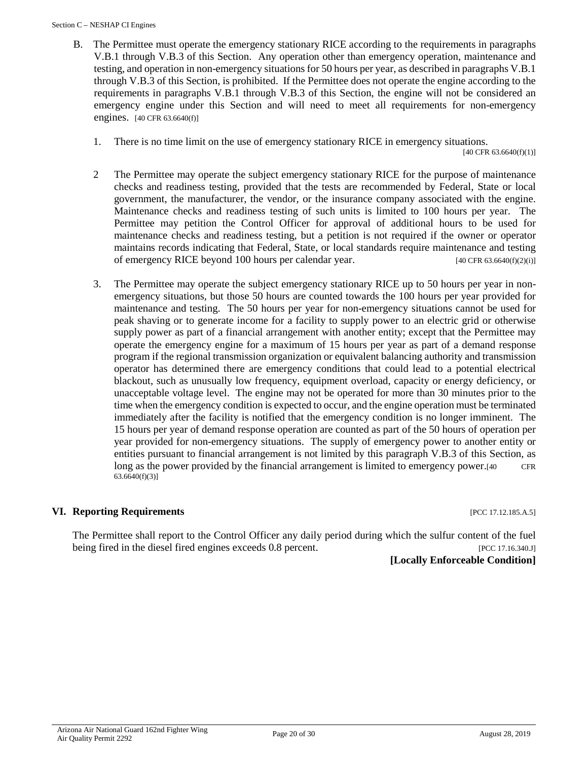#### Section C – NESHAP CI Engines

- B. The Permittee must operate the emergency stationary RICE according to the requirements in paragraphs V.B.1 through V.B.3 of this Section. Any operation other than emergency operation, maintenance and testing, and operation in non-emergency situations for 50 hours per year, as described in paragraphs V.B.1 through V.B.3 of this Section, is prohibited. If the Permittee does not operate the engine according to the requirements in paragraphs V.B.1 through V.B.3 of this Section, the engine will not be considered an emergency engine under this Section and will need to meet all requirements for non-emergency engines. [40 CFR 63.6640(f)]
	- 1. There is no time limit on the use of emergency stationary RICE in emergency situations.

 $[40 \text{ CFR } 63.6640(f)(1)]$ 

- 2 The Permittee may operate the subject emergency stationary RICE for the purpose of maintenance checks and readiness testing, provided that the tests are recommended by Federal, State or local government, the manufacturer, the vendor, or the insurance company associated with the engine. Maintenance checks and readiness testing of such units is limited to 100 hours per year. The Permittee may petition the Control Officer for approval of additional hours to be used for maintenance checks and readiness testing, but a petition is not required if the owner or operator maintains records indicating that Federal, State, or local standards require maintenance and testing of emergency RICE beyond 100 hours per calendar year. [40 CFR 63.6640(f)(2)(i)]
- 3. The Permittee may operate the subject emergency stationary RICE up to 50 hours per year in nonemergency situations, but those 50 hours are counted towards the 100 hours per year provided for maintenance and testing. The 50 hours per year for non-emergency situations cannot be used for peak shaving or to generate income for a facility to supply power to an electric grid or otherwise supply power as part of a financial arrangement with another entity; except that the Permittee may operate the emergency engine for a maximum of 15 hours per year as part of a demand response program if the regional transmission organization or equivalent balancing authority and transmission operator has determined there are emergency conditions that could lead to a potential electrical blackout, such as unusually low frequency, equipment overload, capacity or energy deficiency, or unacceptable voltage level. The engine may not be operated for more than 30 minutes prior to the time when the emergency condition is expected to occur, and the engine operation must be terminated immediately after the facility is notified that the emergency condition is no longer imminent. The 15 hours per year of demand response operation are counted as part of the 50 hours of operation per year provided for non-emergency situations. The supply of emergency power to another entity or entities pursuant to financial arrangement is not limited by this paragraph V.B.3 of this Section, as long as the power provided by the financial arrangement is limited to emergency power.[40 CFR 63.6640(f)(3)]

# **VI. Reporting Requirements Exercise 2.12.185.A.5 [PCC 17.12.185.A.5]**

The Permittee shall report to the Control Officer any daily period during which the sulfur content of the fuel being fired in the diesel fired engines exceeds 0.8 percent. [PCC 17.16.340.J]

**[Locally Enforceable Condition]**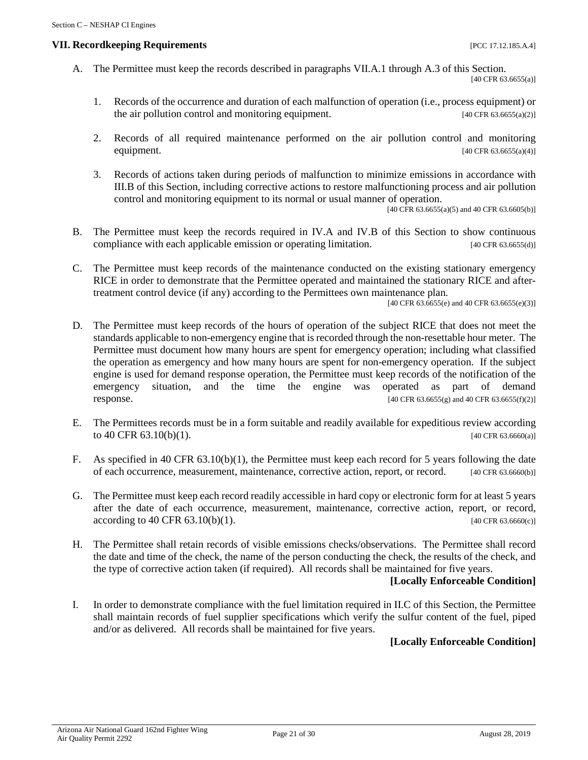#### **VII. Recordkeeping Requirements** [PCC 17.12.185.A.4]

- A. The Permittee must keep the records described in paragraphs VII.A.1 through A.3 of this Section. [40 CFR 63.6655(a)]
	- 1. Records of the occurrence and duration of each malfunction of operation (i.e., process equipment) or the air pollution control and monitoring equipment. [40 CFR 63.6655(a)(2)]
	- 2. Records of all required maintenance performed on the air pollution control and monitoring equipment.  $[40 \text{ CFR } 63.6655(a/4)]$
	- 3. Records of actions taken during periods of malfunction to minimize emissions in accordance with III.B of this Section, including corrective actions to restore malfunctioning process and air pollution control and monitoring equipment to its normal or usual manner of operation.

[40 CFR 63.6655(a)(5) and 40 CFR 63.6605(b)]

- B. The Permittee must keep the records required in IV.A and IV.B of this Section to show continuous compliance with each applicable emission or operating limitation. [40 CFR 63.6655(d)]
- C. The Permittee must keep records of the maintenance conducted on the existing stationary emergency RICE in order to demonstrate that the Permittee operated and maintained the stationary RICE and aftertreatment control device (if any) according to the Permittees own maintenance plan.

 $[40 \text{ CFR } 63.6655(e) \text{ and } 40 \text{ CFR } 63.6655(e)(3)]$ 

- D. The Permittee must keep records of the hours of operation of the subject RICE that does not meet the standards applicable to non-emergency engine that is recorded through the non-resettable hour meter. The Permittee must document how many hours are spent for emergency operation; including what classified the operation as emergency and how many hours are spent for non-emergency operation. If the subject engine is used for demand response operation, the Permittee must keep records of the notification of the emergency situation, and the time the engine was operated as part of demand response. [40 CFR 63.6655(g) and 40 CFR 63.6655(f)(2)]
- E. The Permittees records must be in a form suitable and readily available for expeditious review according to  $40 \text{ CFR } 63.10(b)(1)$ . [40 CFR 63.6660(a)]
- F. As specified in 40 CFR 63.10(b)(1), the Permittee must keep each record for 5 years following the date of each occurrence, measurement, maintenance, corrective action, report, or record. [40 CFR 63.6660(b)]
- G. The Permittee must keep each record readily accessible in hard copy or electronic form for at least 5 years after the date of each occurrence, measurement, maintenance, corrective action, report, or record,  $\text{according to 40 CFR } 63.10(b)(1).$  [40 CFR 63.6660(c)]
- H. The Permittee shall retain records of visible emissions checks/observations. The Permittee shall record the date and time of the check, the name of the person conducting the check, the results of the check, and the type of corrective action taken (if required). All records shall be maintained for five years.

#### **[Locally Enforceable Condition]**

I. In order to demonstrate compliance with the fuel limitation required in II.C of this Section, the Permittee shall maintain records of fuel supplier specifications which verify the sulfur content of the fuel, piped and/or as delivered. All records shall be maintained for five years.

#### **[Locally Enforceable Condition]**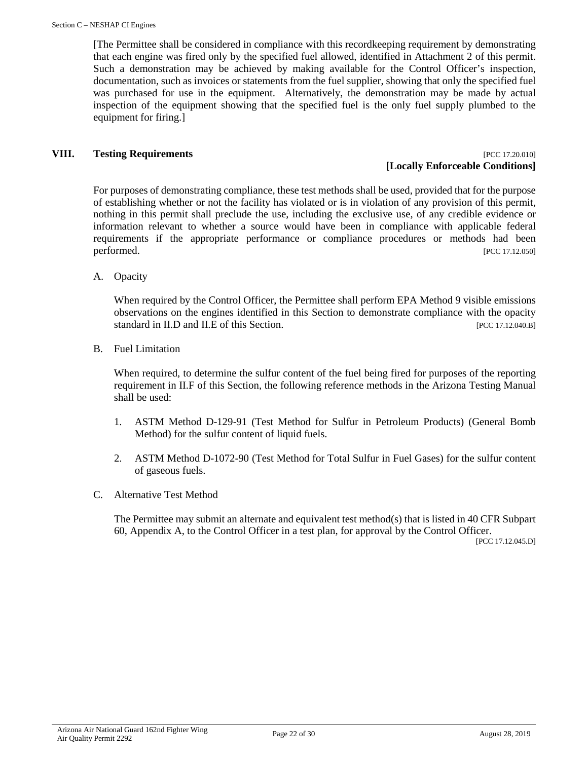[The Permittee shall be considered in compliance with this recordkeeping requirement by demonstrating that each engine was fired only by the specified fuel allowed, identified in Attachment 2 of this permit. Such a demonstration may be achieved by making available for the Control Officer's inspection, documentation, such as invoices or statements from the fuel supplier, showing that only the specified fuel was purchased for use in the equipment. Alternatively, the demonstration may be made by actual inspection of the equipment showing that the specified fuel is the only fuel supply plumbed to the equipment for firing.]

#### **VIII. Testing Requirements** [PCC 17.20.010]

# **[Locally Enforceable Conditions]**

For purposes of demonstrating compliance, these test methods shall be used, provided that for the purpose of establishing whether or not the facility has violated or is in violation of any provision of this permit, nothing in this permit shall preclude the use, including the exclusive use, of any credible evidence or information relevant to whether a source would have been in compliance with applicable federal requirements if the appropriate performance or compliance procedures or methods had been performed. [PCC 17.12.050]

A. Opacity

When required by the Control Officer, the Permittee shall perform EPA Method 9 visible emissions observations on the engines identified in this Section to demonstrate compliance with the opacity standard in II.D and II.E of this Section. **Example 2018** [PCC 17.12.040.B]

B. Fuel Limitation

When required, to determine the sulfur content of the fuel being fired for purposes of the reporting requirement in II.F of this Section, the following reference methods in the Arizona Testing Manual shall be used:

- 1. ASTM Method D-129-91 (Test Method for Sulfur in Petroleum Products) (General Bomb Method) for the sulfur content of liquid fuels.
- 2. ASTM Method D-1072-90 (Test Method for Total Sulfur in Fuel Gases) for the sulfur content of gaseous fuels.
- C. Alternative Test Method

The Permittee may submit an alternate and equivalent test method(s) that is listed in 40 CFR Subpart 60, Appendix A, to the Control Officer in a test plan, for approval by the Control Officer.

[PCC 17.12.045.D]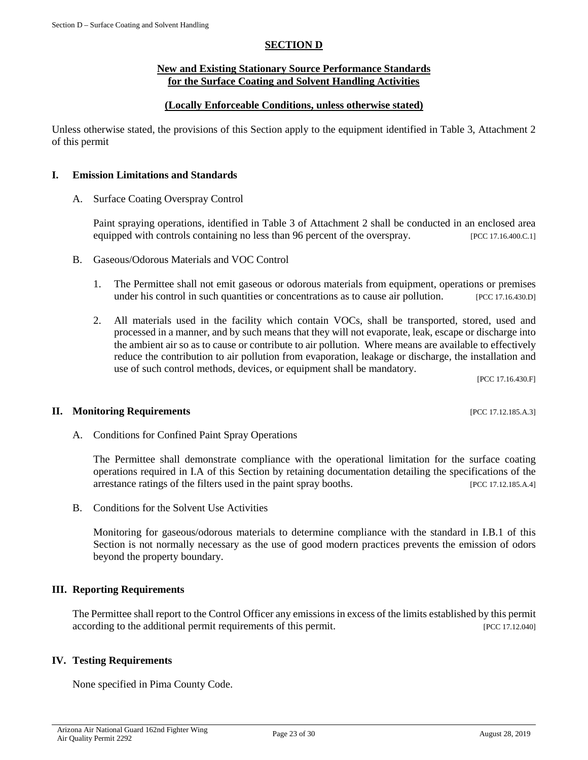#### **SECTION D**

#### **New and Existing Stationary Source Performance Standards for the Surface Coating and Solvent Handling Activities**

#### **(Locally Enforceable Conditions, unless otherwise stated)**

<span id="page-22-0"></span>Unless otherwise stated, the provisions of this Section apply to the equipment identified in Table 3, Attachment 2 of this permit

#### **I. Emission Limitations and Standards**

A. Surface Coating Overspray Control

Paint spraying operations, identified in Table 3 of Attachment 2 shall be conducted in an enclosed area equipped with controls containing no less than 96 percent of the overspray. [PCC 17.16.400.C.1]

- B. Gaseous/Odorous Materials and VOC Control
	- 1. The Permittee shall not emit gaseous or odorous materials from equipment, operations or premises under his control in such quantities or concentrations as to cause air pollution. [PCC 17.16.430.D]
	- 2. All materials used in the facility which contain VOCs, shall be transported, stored, used and processed in a manner, and by such means that they will not evaporate, leak, escape or discharge into the ambient air so as to cause or contribute to air pollution. Where means are available to effectively reduce the contribution to air pollution from evaporation, leakage or discharge, the installation and use of such control methods, devices, or equipment shall be mandatory.

[PCC 17.16.430.F]

#### **II. Monitoring Requirements** [PCC 17.12.185.A.3]

A. Conditions for Confined Paint Spray Operations

The Permittee shall demonstrate compliance with the operational limitation for the surface coating operations required in I.A of this Section by retaining documentation detailing the specifications of the arrestance ratings of the filters used in the paint spray booths. [PCC 17.12.185.A.4]

B. Conditions for the Solvent Use Activities

Monitoring for gaseous/odorous materials to determine compliance with the standard in I.B.1 of this Section is not normally necessary as the use of good modern practices prevents the emission of odors beyond the property boundary.

#### **III. Reporting Requirements**

The Permittee shall report to the Control Officer any emissions in excess of the limits established by this permit according to the additional permit requirements of this permit. [PCC 17.12.040]

#### **IV. Testing Requirements**

None specified in Pima County Code.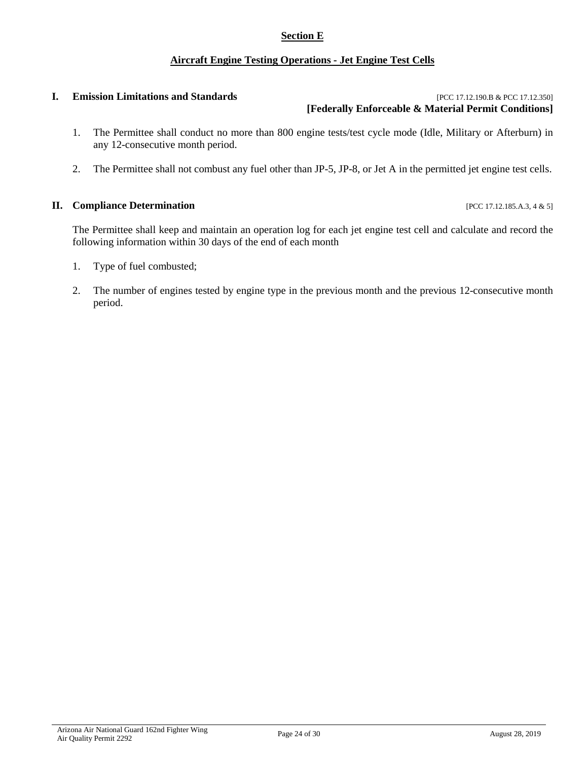# **Section E**

# **Aircraft Engine Testing Operations - Jet Engine Test Cells**

#### <span id="page-23-0"></span>**I. Emission Limitations and Standards Example 2018 Example 2018 EXECUTER EXECUTER EXECUTER EXECUTER EXECUTER EXECUTER EXECUTER EXECUTER EXECUTER EXECUTER EXECUTER EXECUTER EXECUTER EXECUT [Federally Enforceable & Material Permit Conditions]**

- 1. The Permittee shall conduct no more than 800 engine tests/test cycle mode (Idle, Military or Afterburn) in any 12-consecutive month period.
- 2. The Permittee shall not combust any fuel other than JP-5, JP-8, or Jet A in the permitted jet engine test cells.

#### **II. Compliance Determination** [PCC 17.12.185.A.3, 4 & 5]

The Permittee shall keep and maintain an operation log for each jet engine test cell and calculate and record the following information within 30 days of the end of each month

- 1. Type of fuel combusted;
- 2. The number of engines tested by engine type in the previous month and the previous 12-consecutive month period.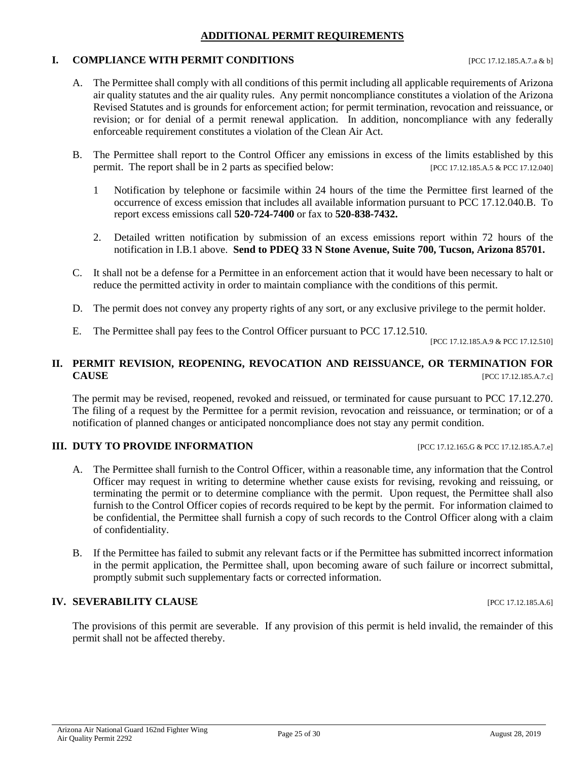# **ADDITIONAL PERMIT REQUIREMENTS**

# <span id="page-24-0"></span>**I. COMPLIANCE WITH PERMIT CONDITIONS** [PCC 17.12.185.A.7.a & b]

- A. The Permittee shall comply with all conditions of this permit including all applicable requirements of Arizona air quality statutes and the air quality rules. Any permit noncompliance constitutes a violation of the Arizona Revised Statutes and is grounds for enforcement action; for permit termination, revocation and reissuance, or revision; or for denial of a permit renewal application. In addition, noncompliance with any federally enforceable requirement constitutes a violation of the Clean Air Act.
- B. The Permittee shall report to the Control Officer any emissions in excess of the limits established by this permit. The report shall be in 2 parts as specified below: [PCC 17.12.185.A.5 & PCC 17.12.040]
	- 1 Notification by telephone or facsimile within 24 hours of the time the Permittee first learned of the occurrence of excess emission that includes all available information pursuant to PCC 17.12.040.B. To report excess emissions call **520-724-7400** or fax to **520-838-7432.**
	- 2. Detailed written notification by submission of an excess emissions report within 72 hours of the notification in I.B.1 above. **Send to PDEQ 33 N Stone Avenue, Suite 700, Tucson, Arizona 85701.**
- C. It shall not be a defense for a Permittee in an enforcement action that it would have been necessary to halt or reduce the permitted activity in order to maintain compliance with the conditions of this permit.
- D. The permit does not convey any property rights of any sort, or any exclusive privilege to the permit holder.
- E. The Permittee shall pay fees to the Control Officer pursuant to PCC 17.12.510.

[PCC 17.12.185.A.9 & PCC 17.12.510]

# **II. PERMIT REVISION, REOPENING, REVOCATION AND REISSUANCE, OR TERMINATION FOR CAUSE** [PCC 17.12.185.A.7.c]

The permit may be revised, reopened, revoked and reissued, or terminated for cause pursuant to PCC 17.12.270. The filing of a request by the Permittee for a permit revision, revocation and reissuance, or termination; or of a notification of planned changes or anticipated noncompliance does not stay any permit condition.

# **III. DUTY TO PROVIDE INFORMATION** [PCC 17.12.165.G & PCC 17.12.185.A.7.e]

- A. The Permittee shall furnish to the Control Officer, within a reasonable time, any information that the Control Officer may request in writing to determine whether cause exists for revising, revoking and reissuing, or terminating the permit or to determine compliance with the permit. Upon request, the Permittee shall also furnish to the Control Officer copies of records required to be kept by the permit. For information claimed to be confidential, the Permittee shall furnish a copy of such records to the Control Officer along with a claim of confidentiality.
- B. If the Permittee has failed to submit any relevant facts or if the Permittee has submitted incorrect information in the permit application, the Permittee shall, upon becoming aware of such failure or incorrect submittal, promptly submit such supplementary facts or corrected information.

# **IV. SEVERABILITY CLAUSE** [PCC 17.12.185.A.6]

The provisions of this permit are severable. If any provision of this permit is held invalid, the remainder of this permit shall not be affected thereby.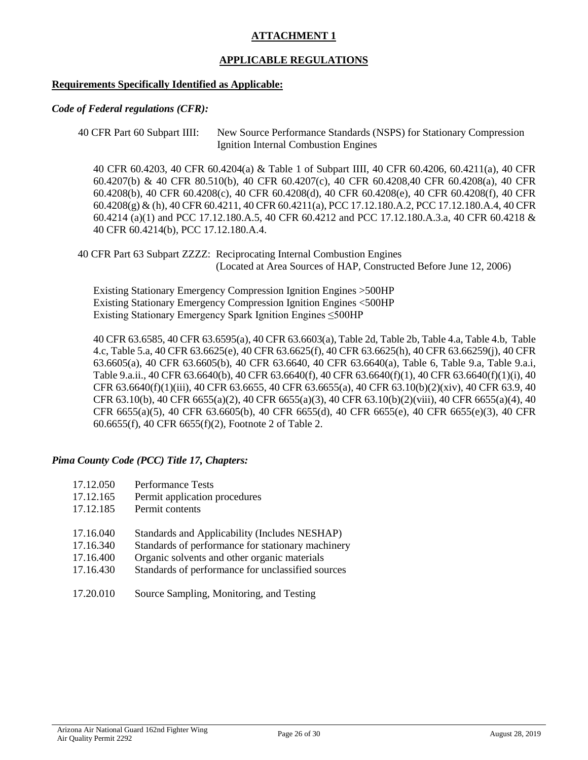# **ATTACHMENT 1**

# **APPLICABLE REGULATIONS**

#### <span id="page-25-0"></span>**Requirements Specifically Identified as Applicable:**

#### *Code of Federal regulations (CFR):*

```
40 CFR Part 60 Subpart IIII: New Source Performance Standards (NSPS) for Stationary Compression 
                  Ignition Internal Combustion Engines
```
40 CFR 60.4203, 40 CFR 60.4204(a) & Table 1 of Subpart IIII, 40 CFR 60.4206, 60.4211(a), 40 CFR 60.4207(b) & 40 CFR 80.510(b), 40 CFR 60.4207(c), 40 CFR 60.4208,40 CFR 60.4208(a), 40 CFR 60.4208(b), 40 CFR 60.4208(c), 40 CFR 60.4208(d), 40 CFR 60.4208(e), 40 CFR 60.4208(f), 40 CFR 60.4208(g) & (h), 40 CFR 60.4211, 40 CFR 60.4211(a), PCC 17.12.180.A.2, PCC 17.12.180.A.4, 40 CFR 60.4214 (a)(1) and PCC 17.12.180.A.5, 40 CFR 60.4212 and PCC 17.12.180.A.3.a, 40 CFR 60.4218 & 40 CFR 60.4214(b), PCC 17.12.180.A.4.

40 CFR Part 63 Subpart ZZZZ: Reciprocating Internal Combustion Engines (Located at Area Sources of HAP, Constructed Before June 12, 2006)

Existing Stationary Emergency Compression Ignition Engines >500HP Existing Stationary Emergency Compression Ignition Engines <500HP Existing Stationary Emergency Spark Ignition Engines ≤500HP

40 CFR 63.6585, 40 CFR 63.6595(a), 40 CFR 63.6603(a), Table 2d, Table 2b, Table 4.a, Table 4.b, Table 4.c, Table 5.a, 40 CFR 63.6625(e), 40 CFR 63.6625(f), 40 CFR 63.6625(h), 40 CFR 63.66259(j), 40 CFR 63.6605(a), 40 CFR 63.6605(b), 40 CFR 63.6640, 40 CFR 63.6640(a), Table 6, Table 9.a, Table 9.a.i, Table 9.a.ii., 40 CFR 63.6640(b), 40 CFR 63.6640(f), 40 CFR 63.6640(f)(1), 40 CFR 63.6640(f)(1)(i), 40 CFR 63.6640(f)(1)(iii), 40 CFR 63.6655, 40 CFR 63.6655(a), 40 CFR 63.10(b)(2)(xiv), 40 CFR 63.9, 40 CFR 63.10(b), 40 CFR 6655(a)(2), 40 CFR 6655(a)(3), 40 CFR 63.10(b)(2)(viii), 40 CFR 6655(a)(4), 40 CFR 6655(a)(5), 40 CFR 63.6605(b), 40 CFR 6655(d), 40 CFR 6655(e), 40 CFR 6655(e)(3), 40 CFR 60.6655(f), 40 CFR 6655(f)(2), Footnote 2 of Table 2.

#### *Pima County Code (PCC) Title 17, Chapters:*

| 17.12.050 | <b>Performance Tests</b>                          |
|-----------|---------------------------------------------------|
| 17.12.165 | Permit application procedures                     |
| 17.12.185 | Permit contents                                   |
| 17.16.040 | Standards and Applicability (Includes NESHAP)     |
| 17.16.340 | Standards of performance for stationary machinery |
| 17.16.400 | Organic solvents and other organic materials      |
| 17.16.430 | Standards of performance for unclassified sources |

17.20.010 Source Sampling, Monitoring, and Testing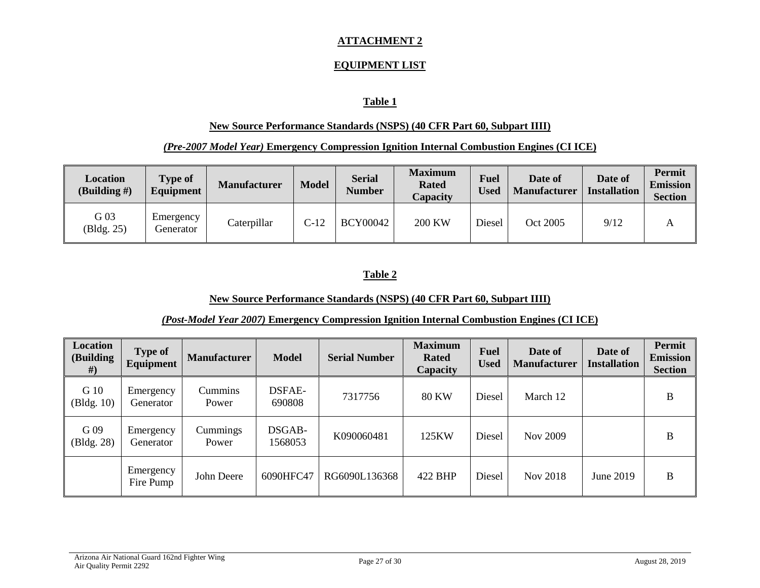# **ATTACHMENT 2**

# **EQUIPMENT LIST**

# **Table 1**

# **New Source Performance Standards (NSPS) (40 CFR Part 60, Subpart IIII)**

## *(Pre-2007 Model Year)* **Emergency Compression Ignition Internal Combustion Engines (CI ICE)**

<span id="page-26-0"></span>

| Location<br>$(Building \#)$ | <b>Type of</b><br>Equipment | <b>Manufacturer</b> | <b>Model</b> | <b>Serial</b><br><b>Number</b> | <b>Maximum</b><br><b>Rated</b><br>Capacity | <b>Fuel</b><br><b>Used</b> | Date of<br><b>Manufacturer</b> | Date of<br><b>Installation</b> | <b>Permit</b><br><b>Emission</b><br><b>Section</b> |
|-----------------------------|-----------------------------|---------------------|--------------|--------------------------------|--------------------------------------------|----------------------------|--------------------------------|--------------------------------|----------------------------------------------------|
| G 03<br>(Bldg. 25)          | Emergency<br>Generator      | Caterpillar         | $C-12$       | <b>BCY00042</b>                | <b>200 KW</b>                              | Diesel                     | Oct 2005                       | 9/12                           | А                                                  |

# **Table 2**

#### **New Source Performance Standards (NSPS) (40 CFR Part 60, Subpart IIII)**

# *(Post-Model Year 2007)* **Emergency Compression Ignition Internal Combustion Engines (CI ICE)**

| Location<br>(Building<br># | <b>Type of</b><br><b>Equipment</b> | <b>Manufacturer</b> | <b>Model</b>      | <b>Serial Number</b> | <b>Maximum</b><br><b>Rated</b><br>Capacity | <b>Fuel</b><br><b>Used</b> | Date of<br><b>Manufacturer</b> | Date of<br>Installation | Permit<br><b>Emission</b><br><b>Section</b> |
|----------------------------|------------------------------------|---------------------|-------------------|----------------------|--------------------------------------------|----------------------------|--------------------------------|-------------------------|---------------------------------------------|
| G 10<br>(Bldg. 10)         | Emergency<br>Generator             | Cummins<br>Power    | DSFAE-<br>690808  | 7317756              | <b>80 KW</b>                               | Diesel                     | March 12                       |                         | B                                           |
| G 09<br>(Bldg. 28)         | Emergency<br>Generator             | Cummings<br>Power   | DSGAB-<br>1568053 | K090060481           | 125KW                                      | Diesel                     | Nov 2009                       |                         | B                                           |
|                            | Emergency<br>Fire Pump             | John Deere          | 6090HFC47         | RG6090L136368        | 422 BHP                                    | Diesel                     | Nov 2018                       | June 2019               | B                                           |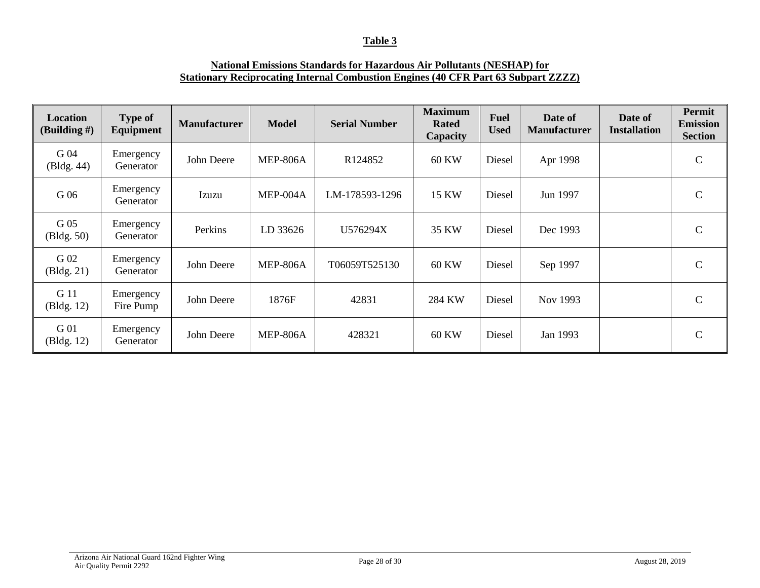# **Table 3**

# **National Emissions Standards for Hazardous Air Pollutants (NESHAP) for Stationary Reciprocating Internal Combustion Engines (40 CFR Part 63 Subpart ZZZZ)**

| <b>Location</b><br>(Building $#$ ) | <b>Type of</b><br><b>Equipment</b> | <b>Manufacturer</b> | <b>Model</b>    | <b>Serial Number</b> | <b>Maximum</b><br><b>Rated</b><br>Capacity | <b>Fuel</b><br><b>Used</b> | Date of<br><b>Manufacturer</b> | Date of<br><b>Installation</b> | <b>Permit</b><br><b>Emission</b><br><b>Section</b> |
|------------------------------------|------------------------------------|---------------------|-----------------|----------------------|--------------------------------------------|----------------------------|--------------------------------|--------------------------------|----------------------------------------------------|
| G 04<br>(Bldg. 44)                 | Emergency<br>Generator             | John Deere          | <b>MEP-806A</b> | R124852              | <b>60 KW</b>                               | Diesel                     | Apr 1998                       |                                | $\mathcal{C}$                                      |
| G 06                               | Emergency<br>Generator             | Izuzu               | $MEP-004A$      | LM-178593-1296       | <b>15 KW</b>                               | Diesel                     | Jun 1997                       |                                | $\mathsf{C}$                                       |
| G 05<br>(Bldg. 50)                 | Emergency<br>Generator             | Perkins             | LD 33626        | U576294X             | 35 KW                                      | Diesel                     | Dec 1993                       |                                | $\mathbf C$                                        |
| G 02<br>(Bldg. 21)                 | Emergency<br>Generator             | John Deere          | <b>MEP-806A</b> | T06059T525130        | 60 KW                                      | Diesel                     | Sep 1997                       |                                | $\mathcal{C}$                                      |
| G 11<br>(Bldg. 12)                 | Emergency<br>Fire Pump             | John Deere          | 1876F           | 42831                | 284 KW                                     | Diesel                     | Nov 1993                       |                                | $\mathcal{C}$                                      |
| G 01<br>(Bldg. 12)                 | Emergency<br>Generator             | John Deere          | <b>MEP-806A</b> | 428321               | 60 KW                                      | Diesel                     | Jan 1993                       |                                | C                                                  |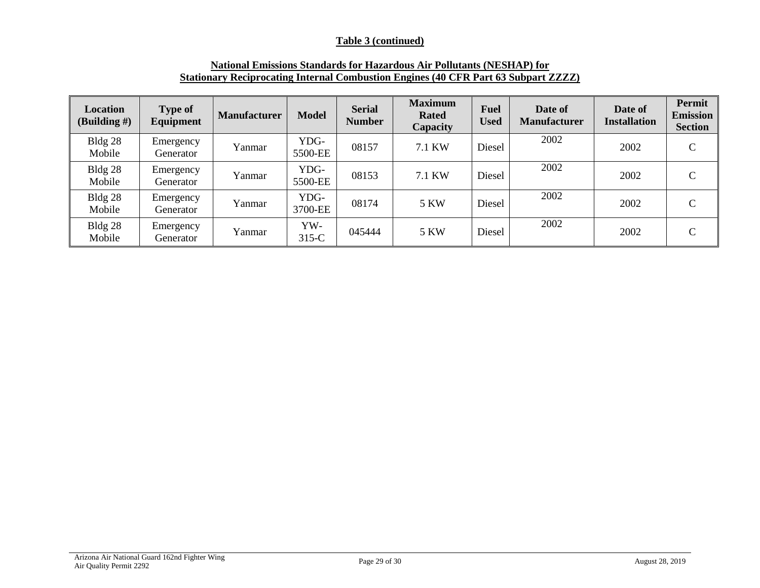# **Table 3 (continued)**

| <b>National Emissions Standards for Hazardous Air Pollutants (NESHAP) for</b>             |
|-------------------------------------------------------------------------------------------|
| <b>Stationary Reciprocating Internal Combustion Engines (40 CFR Part 63 Subpart ZZZZ)</b> |

| <b>Location</b><br>(Building $#$ ) | <b>Type of</b><br>Equipment | <b>Manufacturer</b> | <b>Model</b>    | <b>Serial</b><br><b>Number</b> | <b>Maximum</b><br><b>Rated</b><br>Capacity | <b>Fuel</b><br><b>Used</b> | Date of<br><b>Manufacturer</b> | Date of<br><b>Installation</b> | Permit<br><b>Emission</b><br><b>Section</b> |
|------------------------------------|-----------------------------|---------------------|-----------------|--------------------------------|--------------------------------------------|----------------------------|--------------------------------|--------------------------------|---------------------------------------------|
| Bldg 28<br>Mobile                  | Emergency<br>Generator      | Yanmar              | YDG-<br>5500-EE | 08157                          | 7.1 KW                                     | Diesel                     | 2002                           | 2002                           | $\mathcal{C}$                               |
| Bldg 28<br>Mobile                  | Emergency<br>Generator      | Yanmar              | YDG-<br>5500-EE | 08153                          | 7.1 KW                                     | Diesel                     | 2002                           | 2002                           | $\mathbf C$                                 |
| Bldg 28<br>Mobile                  | Emergency<br>Generator      | Yanmar              | YDG-<br>3700-EE | 08174                          | 5 KW                                       | Diesel                     | 2002                           | 2002                           | $\mathcal{C}$                               |
| Bldg 28<br>Mobile                  | Emergency<br>Generator      | Yanmar              | YW-<br>$315-C$  | 045444                         | <b>5 KW</b>                                | Diesel                     | 2002                           | 2002                           | $\mathbf C$                                 |